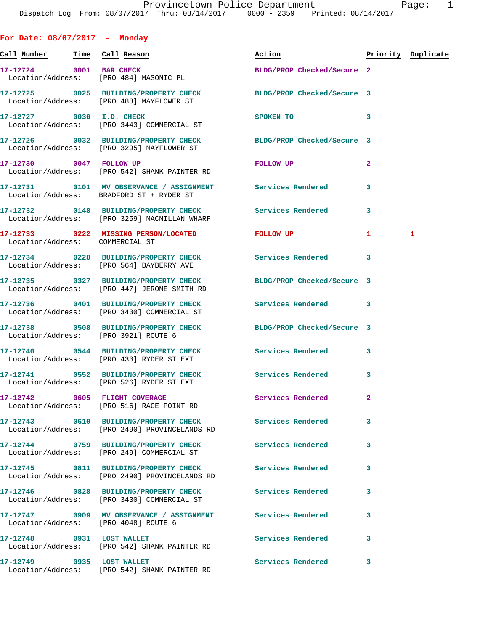| For Date: $08/07/2017$ - Monday                                   |                                                                                                               |                            |                    |
|-------------------------------------------------------------------|---------------------------------------------------------------------------------------------------------------|----------------------------|--------------------|
| <u>Call Number — Time Call Reason</u>                             |                                                                                                               | Action                     | Priority Duplicate |
| 17-12724 0001 BAR CHECK<br>Location/Address: [PRO 484] MASONIC PL |                                                                                                               | BLDG/PROP Checked/Secure 2 |                    |
|                                                                   | 17-12725 0025 BUILDING/PROPERTY CHECK<br>Location/Address: [PRO 488] MAYFLOWER ST                             | BLDG/PROP Checked/Secure 3 |                    |
| 17-12727 0030 I.D. CHECK                                          | Location/Address: [PRO 3443] COMMERCIAL ST                                                                    | SPOKEN TO                  | 3                  |
|                                                                   | 17-12726 0032 BUILDING/PROPERTY CHECK BLDG/PROP Checked/Secure 3<br>Location/Address: [PRO 3295] MAYFLOWER ST |                            |                    |
| 17-12730 0047 FOLLOW UP                                           | Location/Address: [PRO 542] SHANK PAINTER RD                                                                  | FOLLOW UP                  | $\overline{a}$     |
|                                                                   | 17-12731 0101 MV OBSERVANCE / ASSIGNMENT Services Rendered<br>Location/Address: BRADFORD ST + RYDER ST        |                            | 3                  |
|                                                                   | 17-12732 0148 BUILDING/PROPERTY CHECK<br>Location/Address: [PRO 3259] MACMILLAN WHARF                         | <b>Services Rendered</b>   | 3                  |
| Location/Address: COMMERCIAL ST                                   | 17-12733 0222 MISSING PERSON/LOCATED FOLLOW UP                                                                |                            | 1<br>1             |
|                                                                   | 17-12734 0228 BUILDING/PROPERTY CHECK<br>Location/Address: [PRO 564] BAYBERRY AVE                             | Services Rendered          | 3                  |
|                                                                   | 17-12735 0327 BUILDING/PROPERTY CHECK<br>Location/Address: [PRO 447] JEROME SMITH RD                          | BLDG/PROP Checked/Secure 3 |                    |
|                                                                   | 17-12736 0401 BUILDING/PROPERTY CHECK Services Rendered<br>Location/Address: [PRO 3430] COMMERCIAL ST         |                            | 3                  |
| Location/Address: [PRO 3921] ROUTE 6                              | 17-12738 0508 BUILDING/PROPERTY CHECK BLDG/PROP Checked/Secure 3                                              |                            |                    |
|                                                                   | 17-12740 0544 BUILDING/PROPERTY CHECK<br>Location/Address: [PRO 433] RYDER ST EXT                             | Services Rendered          | 3                  |
|                                                                   | 17-12741 0552 BUILDING/PROPERTY CHECK Services Rendered 3<br>Location/Address: [PRO 526] RYDER ST EXT         |                            |                    |
| 17-12742 0605 FLIGHT COVERAGE                                     | Location/Address: [PRO 516] RACE POINT RD                                                                     | Services Rendered          | $\mathbf{2}$       |
|                                                                   | Location/Address: [PRO 2490] PROVINCELANDS RD                                                                 | <b>Services Rendered</b>   | 3                  |
|                                                                   | 17-12744 0759 BUILDING/PROPERTY CHECK<br>Location/Address: [PRO 249] COMMERCIAL ST                            | Services Rendered          | 3                  |
|                                                                   | 17-12745 0811 BUILDING/PROPERTY CHECK<br>Location/Address: [PRO 2490] PROVINCELANDS RD                        | Services Rendered          | 3                  |
|                                                                   | 17-12746 0828 BUILDING/PROPERTY CHECK<br>Location/Address: [PRO 3430] COMMERCIAL ST                           | <b>Services Rendered</b>   | 3                  |
| Location/Address: [PRO 4048] ROUTE 6                              | 17-12747 0909 MV OBSERVANCE / ASSIGNMENT Services Rendered                                                    |                            | 3                  |
| 17-12748 0931 LOST WALLET                                         | Location/Address: [PRO 542] SHANK PAINTER RD                                                                  | <b>Services Rendered</b>   | 3                  |
| 17-12749 0935 LOST WALLET                                         | Location/Address: [PRO 542] SHANK PAINTER RD                                                                  | Services Rendered          | 3                  |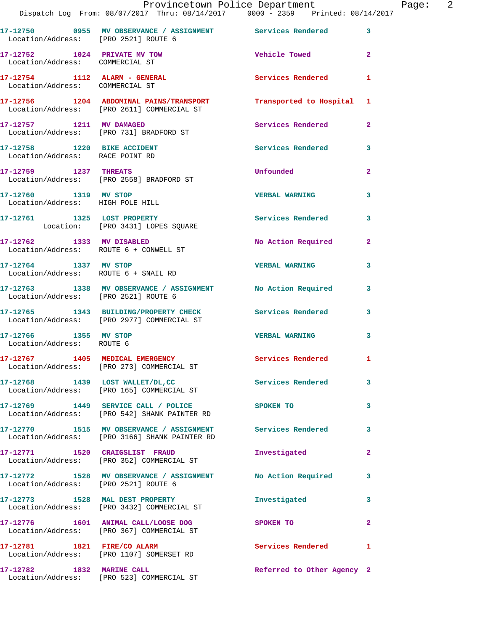|                                                                  | Dispatch Log From: 08/07/2017 Thru: 08/14/2017 0000 - 2359 Printed: 08/14/2017                              | Provincetown Police Department  |              | Page: 2 |  |
|------------------------------------------------------------------|-------------------------------------------------------------------------------------------------------------|---------------------------------|--------------|---------|--|
| Location/Address: [PRO 2521] ROUTE 6                             | 17-12750 0955 MV OBSERVANCE / ASSIGNMENT Services Rendered 3                                                |                                 |              |         |  |
| Location/Address: COMMERCIAL ST                                  | 17-12752 1024 PRIVATE MV TOW                                                                                | <b>Solution Vehicle Towed 2</b> |              |         |  |
| 17-12754 1112 ALARM - GENERAL<br>Location/Address: COMMERCIAL ST |                                                                                                             | Services Rendered 1             |              |         |  |
|                                                                  | 17-12756 1204 ABDOMINAL PAINS/TRANSPORT<br>Location/Address: [PRO 2611] COMMERCIAL ST                       | Transported to Hospital 1       |              |         |  |
|                                                                  | 17-12757 1211 MV DAMAGED<br>Location/Address: [PRO 731] BRADFORD ST                                         | Services Rendered               | $\mathbf{2}$ |         |  |
| Location/Address: RACE POINT RD                                  | 17-12758 1220 BIKE ACCIDENT                                                                                 | Services Rendered 3             |              |         |  |
|                                                                  | 17-12759 1237 THREATS<br>Location/Address: [PRO 2558] BRADFORD ST                                           | <b>Unfounded</b>                | $\mathbf{2}$ |         |  |
| Location/Address: HIGH POLE HILL                                 | 17-12760 1319 MV STOP                                                                                       | <b>VERBAL WARNING</b>           | 3            |         |  |
|                                                                  | 17-12761 1325 LOST PROPERTY<br>Location: [PRO 3431] LOPES SQUARE                                            | Services Rendered 3             |              |         |  |
| Location/Address: ROUTE 6 + CONWELL ST                           | 17-12762 1333 MV DISABLED                                                                                   | No Action Required              | $\mathbf{2}$ |         |  |
| 17-12764 1337 MV STOP                                            | Location/Address: ROUTE 6 + SNAIL RD                                                                        | <b>VERBAL WARNING</b>           | $\mathbf{3}$ |         |  |
|                                                                  | 17-12763 1338 MV OBSERVANCE / ASSIGNMENT No Action Required 3<br>Location/Address: [PRO 2521] ROUTE 6       |                                 |              |         |  |
|                                                                  | 17-12765 1343 BUILDING/PROPERTY CHECK Services Rendered 3<br>Location/Address: [PRO 2977] COMMERCIAL ST     |                                 |              |         |  |
| Location/Address: ROUTE 6                                        | 17-12766 1355 MV STOP                                                                                       | VERBAL WARNING 3                |              |         |  |
|                                                                  | 17-12767 1405 MEDICAL EMERGENCY Services Rendered 1<br>Location/Address: [PRO 273] COMMERCIAL ST            |                                 |              |         |  |
|                                                                  | 17-12768 1439 LOST WALLET/DL, CC Services Rendered<br>Location/Address: [PRO 165] COMMERCIAL ST             |                                 | $\mathbf{3}$ |         |  |
|                                                                  | 17-12769 1449 SERVICE CALL / POLICE<br>Location/Address: [PRO 542] SHANK PAINTER RD                         | <b>SPOKEN TO</b>                | 3            |         |  |
|                                                                  | 17-12770 1515 MV OBSERVANCE / ASSIGNMENT Services Rendered<br>Location/Address: [PRO 3166] SHANK PAINTER RD |                                 | 3            |         |  |
|                                                                  | 17-12771 1520 CRAIGSLIST FRAUD<br>Location/Address: [PRO 352] COMMERCIAL ST                                 | Investigated                    | $\mathbf{2}$ |         |  |
| Location/Address: [PRO 2521] ROUTE 6                             | 17-12772 1528 MV OBSERVANCE / ASSIGNMENT No Action Required                                                 |                                 | $\mathbf{3}$ |         |  |
|                                                                  | 17-12773 1528 MAL DEST PROPERTY<br>Location/Address: [PRO 3432] COMMERCIAL ST                               | Investigated                    | 3            |         |  |
|                                                                  | 17-12776 1601 ANIMAL CALL/LOOSE DOG<br>Location/Address: [PRO 367] COMMERCIAL ST                            | SPOKEN TO                       | $\mathbf{2}$ |         |  |
| 17-12781 1821 FIRE/CO ALARM                                      | Location/Address: [PRO 1107] SOMERSET RD                                                                    | Services Rendered 1             |              |         |  |
|                                                                  | 17-12782 1832 MARINE CALL<br>Location/Address: [PRO 523] COMMERCIAL ST                                      | Referred to Other Agency 2      |              |         |  |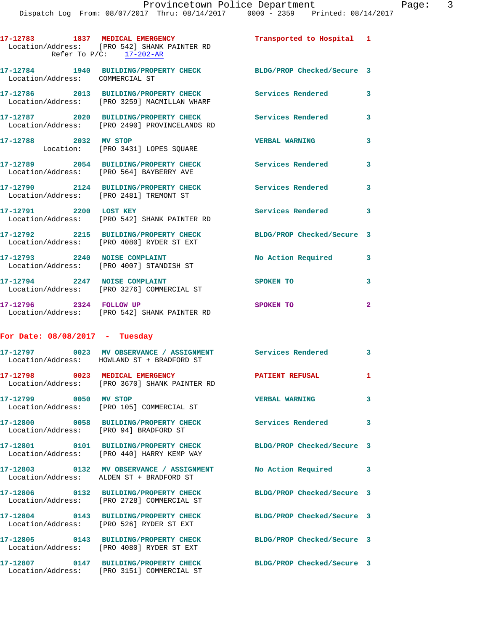Dispatch Log From: 08/07/2017 Thru: 08/14/2017 0000 - 2359 Printed: 08/14/2017 **17-12783 1837 MEDICAL EMERGENCY Transported to Hospital 1**  Location/Address: [PRO 542] SHANK PAINTER RD Refer To  $P/C:$   $\frac{17-202-AR}{2}$ **17-12784 1940 BUILDING/PROPERTY CHECK BLDG/PROP Checked/Secure 3**  Location/Address: COMMERCIAL ST **17-12786 2013 BUILDING/PROPERTY CHECK Services Rendered 3**  Location/Address: [PRO 3259] MACMILLAN WHARF **17-12787 2020 BUILDING/PROPERTY CHECK Services Rendered 3**  Location/Address: [PRO 2490] PROVINCELANDS RD **17-12788 2032 MV STOP VERBAL WARNING 3**  Location: [PRO 3431] LOPES SQUARE **17-12789 2054 BUILDING/PROPERTY CHECK Services Rendered 3**  Location/Address: [PRO 564] BAYBERRY AVE **17-12790 2124 BUILDING/PROPERTY CHECK Services Rendered 3**  Location/Address: [PRO 2481] TREMONT ST 17-12791 2200 LOST KEY **Services Rendered** 3 Location/Address: [PRO 542] SHANK PAINTER RD **17-12792 2215 BUILDING/PROPERTY CHECK BLDG/PROP Checked/Secure 3**  Location/Address: [PRO 4080] RYDER ST EXT 17-12793 2240 NOISE COMPLAINT No Action Required 3 Location/Address: [PRO 4007] STANDISH ST **17-12794 2247 NOISE COMPLAINT SPOKEN TO 3**  Location/Address: [PRO 3276] COMMERCIAL ST

**17-12796 2324 FOLLOW UP SPOKEN TO 2**  Location/Address: [PRO 542] SHANK PAINTER RD

## **For Date: 08/08/2017 - Tuesday**

|                                        | Location/Address: HOWLAND ST + BRADFORD ST                                                                     |                            | $\overline{3}$          |
|----------------------------------------|----------------------------------------------------------------------------------------------------------------|----------------------------|-------------------------|
|                                        | 17-12798 0023 MEDICAL EMERGENCY<br>Location/Address: [PRO 3670] SHANK PAINTER RD                               | <b>PATIENT REFUSAL</b>     | $\mathbf{1}$            |
| 17-12799 0050 MV STOP                  | Location/Address: [PRO 105] COMMERCIAL ST                                                                      | <b>VERBAL WARNING</b>      | $\overline{\mathbf{3}}$ |
| Location/Address: [PRO 94] BRADFORD ST | 17-12800                0058     BUILDING/PROPERTY CHECK                     Services Rendered                 |                            | $\mathbf{3}$            |
|                                        | 17-12801 0101 BUILDING/PROPERTY CHECK BLDG/PROP Checked/Secure 3<br>Location/Address: [PRO 440] HARRY KEMP WAY |                            |                         |
|                                        | 17-12803 0132 MV OBSERVANCE / ASSIGNMENT No Action Required 3<br>Location/Address: ALDEN ST + BRADFORD ST      |                            |                         |
|                                        | 17-12806 0132 BUILDING/PROPERTY CHECK<br>Location/Address: [PRO 2728] COMMERCIAL ST                            | BLDG/PROP Checked/Secure 3 |                         |
|                                        | 17-12804 0143 BUILDING/PROPERTY CHECK<br>Location/Address: [PRO 526] RYDER ST EXT                              | BLDG/PROP Checked/Secure 3 |                         |
|                                        | 17-12805 0143 BUILDING/PROPERTY CHECK BLDG/PROP Checked/Secure 3<br>Location/Address: [PRO 4080] RYDER ST EXT  |                            |                         |
|                                        | 17-12807 0147 BUILDING/PROPERTY CHECK<br>Location/Address: [PRO 3151] COMMERCIAL ST                            | BLDG/PROP Checked/Secure 3 |                         |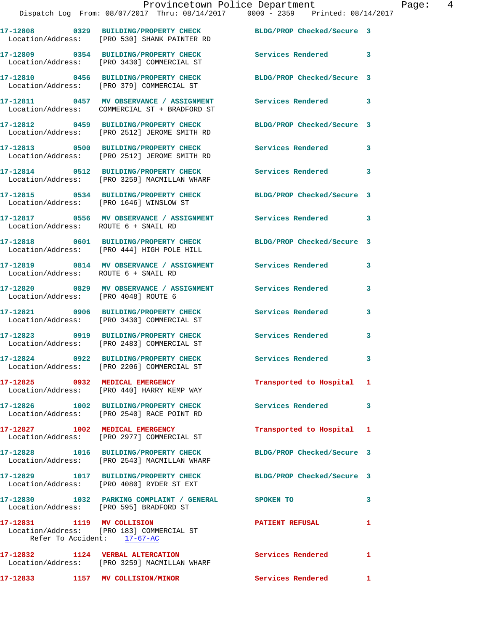**17-12808 0329 BUILDING/PROPERTY CHECK BLDG/PROP Checked/Secure 3**  Location/Address: [PRO 530] SHANK PAINTER RD **17-12809 0354 BUILDING/PROPERTY CHECK Services Rendered 3**  Location/Address: [PRO 3430] COMMERCIAL ST **17-12810 0456 BUILDING/PROPERTY CHECK BLDG/PROP Checked/Secure 3**  Location/Address: [PRO 379] COMMERCIAL ST **17-12811 0457 MV OBSERVANCE / ASSIGNMENT Services Rendered 3**  Location/Address: COMMERCIAL ST + BRADFORD ST **17-12812 0459 BUILDING/PROPERTY CHECK BLDG/PROP Checked/Secure 3**  Location/Address: [PRO 2512] JEROME SMITH RD **17-12813 0500 BUILDING/PROPERTY CHECK Services Rendered 3**  Location/Address: [PRO 2512] JEROME SMITH RD **17-12814 0512 BUILDING/PROPERTY CHECK Services Rendered 3**  Location/Address: [PRO 3259] MACMILLAN WHARF **17-12815 0534 BUILDING/PROPERTY CHECK BLDG/PROP Checked/Secure 3**  Location/Address: [PRO 1646] WINSLOW ST **17-12817 0556 MV OBSERVANCE / ASSIGNMENT Services Rendered 3**  Location/Address: ROUTE 6 + SNAIL RD **17-12818 0601 BUILDING/PROPERTY CHECK BLDG/PROP Checked/Secure 3**  Location/Address: [PRO 444] HIGH POLE HILL **17-12819 0814 MV OBSERVANCE / ASSIGNMENT Services Rendered 3**  Location/Address: ROUTE 6 + SNAIL RD **17-12820 0829 MV OBSERVANCE / ASSIGNMENT Services Rendered 3**  Location/Address: [PRO 4048] ROUTE 6 **17-12821 0906 BUILDING/PROPERTY CHECK Services Rendered 3**  Location/Address: [PRO 3430] COMMERCIAL ST **17-12823 0919 BUILDING/PROPERTY CHECK Services Rendered 3**  Location/Address: [PRO 2483] COMMERCIAL ST **17-12824 0922 BUILDING/PROPERTY CHECK Services Rendered 3**  Location/Address: [PRO 2206] COMMERCIAL ST **17-12825 0932 MEDICAL EMERGENCY Transported to Hospital 1**  Location/Address: [PRO 440] HARRY KEMP WAY **17-12826 1002 BUILDING/PROPERTY CHECK Services Rendered 3**  Location/Address: [PRO 2540] RACE POINT RD **17-12827 1002 MEDICAL EMERGENCY Transported to Hospital 1**  Location/Address: [PRO 2977] COMMERCIAL ST **17-12828 1016 BUILDING/PROPERTY CHECK BLDG/PROP Checked/Secure 3**  Location/Address: [PRO 2543] MACMILLAN WHARF **17-12829 1017 BUILDING/PROPERTY CHECK BLDG/PROP Checked/Secure 3**  Location/Address: [PRO 4080] RYDER ST EXT **17-12830 1032 PARKING COMPLAINT / GENERAL SPOKEN TO 3**  Location/Address: [PRO 595] BRADFORD ST **17-12831 1119 MV COLLISION PATIENT REFUSAL 1**  Location/Address: [PRO 183] COMMERCIAL ST Refer To Accident: 17-67-AC **17-12832 1124 VERBAL ALTERCATION Services Rendered 1**  Location/Address: [PRO 3259] MACMILLAN WHARF

**17-12833 1157 MV COLLISION/MINOR Services Rendered 1**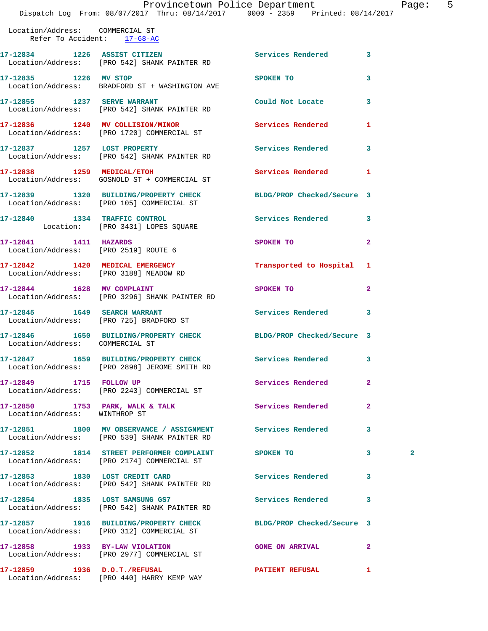Dispatch Log From: 08/07/2017 Thru: 08/14/2017 0000 - 2359 Printed: 08/14/2017 Location/Address: COMMERCIAL ST Refer To Accident: 17-68-AC **17-12834 1226 ASSIST CITIZEN Services Rendered 3**  Location/Address: [PRO 542] SHANK PAINTER RD **17-12835 1226 MV STOP SPOKEN TO 3**  Location/Address: BRADFORD ST + WASHINGTON AVE **17-12855 1237 SERVE WARRANT Could Not Locate 3**  Location/Address: [PRO 542] SHANK PAINTER RD **17-12836 1240 MV COLLISION/MINOR Services Rendered 1**  Location/Address: [PRO 1720] COMMERCIAL ST **17-12837 1257 LOST PROPERTY Services Rendered 3**  Location/Address: [PRO 542] SHANK PAINTER RD **17-12838 1259 MEDICAL/ETOH Services Rendered 1**  Location/Address: GOSNOLD ST + COMMERCIAL ST **17-12839 1320 BUILDING/PROPERTY CHECK BLDG/PROP Checked/Secure 3**  Location/Address: [PRO 105] COMMERCIAL ST **17-12840 1334 TRAFFIC CONTROL Services Rendered 3**  Location: [PRO 3431] LOPES SQUARE **17-12841 1411 HAZARDS SPOKEN TO 2**  Location/Address: [PRO 2519] ROUTE 6 **17-12842 1420 MEDICAL EMERGENCY Transported to Hospital 1**  Location/Address: [PRO 3188] MEADOW RD Location/Address: [PRO 3296] SHANK PAINTER RD Location/Address: [PRO 725] BRADFORD ST

**17-12844 1628 MV COMPLAINT SPOKEN TO 2 17-12845 1649 SEARCH WARRANT Services Rendered 3 17-12846 1650 BUILDING/PROPERTY CHECK BLDG/PROP Checked/Secure 3**  Location/Address: COMMERCIAL ST **17-12847 1659 BUILDING/PROPERTY CHECK Services Rendered 3**  Location/Address: [PRO 2898] JEROME SMITH RD **17-12849 1715 FOLLOW UP Services Rendered 2**  Location/Address: [PRO 2243] COMMERCIAL ST 17-12850 **1753 PARK, WALK & TALK Services Rendered** 2 **17-12851 1800 MV OBSERVANCE / ASSIGNMENT Services Rendered 3**  Location/Address: [PRO 539] SHANK PAINTER RD **17-12852 1814 STREET PERFORMER COMPLAINT SPOKEN TO 3 2**  Location/Address: [PRO 2174] COMMERCIAL ST 17-12853 1830 LOST CREDIT CARD **Services Rendered** 3 Location/Address: [PRO 542] SHANK PAINTER RD **17-12854 1835 LOST SAMSUNG GS7 Services Rendered 3**  Location/Address: [PRO 542] SHANK PAINTER RD **17-12857 1916 BUILDING/PROPERTY CHECK BLDG/PROP Checked/Secure 3**  Location/Address: [PRO 312] COMMERCIAL ST **17-12858 1933 BY-LAW VIOLATION GONE ON ARRIVAL 2**  Location/Address: [PRO 2977] COMMERCIAL ST **17-12859 1936 D.O.T./REFUSAL PATIENT REFUSAL 1** 

Location/Address: WINTHROP ST

Location/Address: [PRO 440] HARRY KEMP WAY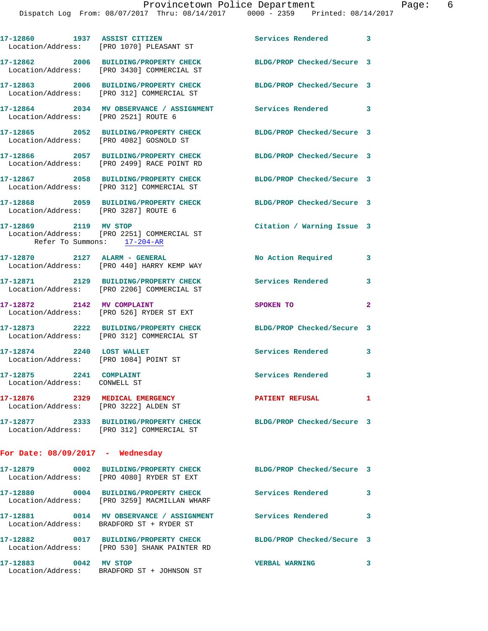|                                                         | 17-12860 1937 ASSIST CITIZEN<br>Location/Address: [PRO 1070] PLEASANT ST                                         | Services Rendered 3        |                         |
|---------------------------------------------------------|------------------------------------------------------------------------------------------------------------------|----------------------------|-------------------------|
|                                                         | 17-12862 2006 BUILDING/PROPERTY CHECK<br>Location/Address: [PRO 3430] COMMERCIAL ST                              | BLDG/PROP Checked/Secure 3 |                         |
|                                                         | 17-12863 2006 BUILDING/PROPERTY CHECK<br>Location/Address: [PRO 312] COMMERCIAL ST                               | BLDG/PROP Checked/Secure 3 |                         |
|                                                         | 17-12864 2034 MV OBSERVANCE / ASSIGNMENT<br>Location/Address: [PRO 2521] ROUTE 6                                 | Services Rendered 3        |                         |
|                                                         | 17-12865 2052 BUILDING/PROPERTY CHECK<br>Location/Address: [PRO 4082] GOSNOLD ST                                 | BLDG/PROP Checked/Secure 3 |                         |
|                                                         | 17-12866 2057 BUILDING/PROPERTY CHECK<br>Location/Address: [PRO 2499] RACE POINT RD                              | BLDG/PROP Checked/Secure 3 |                         |
|                                                         | 17-12867 2058 BUILDING/PROPERTY CHECK<br>Location/Address: [PRO 312] COMMERCIAL ST                               | BLDG/PROP Checked/Secure 3 |                         |
|                                                         | 17-12868 2059 BUILDING/PROPERTY CHECK<br>Location/Address: [PRO 3287] ROUTE 6                                    | BLDG/PROP Checked/Secure 3 |                         |
| 17-12869 2119 MV STOP                                   | Location/Address: [PRO 2251] COMMERCIAL ST<br>Refer To Summons: 17-204-AR                                        | Citation / Warning Issue 3 |                         |
| 17-12870 2127 ALARM - GENERAL                           | Location/Address: [PRO 440] HARRY KEMP WAY                                                                       | No Action Required         | 3                       |
|                                                         | 17-12871 2129 BUILDING/PROPERTY CHECK<br>Location/Address: [PRO 2206] COMMERCIAL ST                              | <b>Services Rendered</b>   | 3                       |
| 17-12872 2142 MV COMPLAINT                              | Location/Address: [PRO 526] RYDER ST EXT                                                                         | SPOKEN TO                  | $\mathbf{2}$            |
|                                                         | 17-12873 2222 BUILDING/PROPERTY CHECK<br>Location/Address: [PRO 312] COMMERCIAL ST                               | BLDG/PROP Checked/Secure 3 |                         |
| 17-12874 2240 LOST WALLET                               | Location/Address: [PRO 1084] POINT ST                                                                            | <b>Services Rendered</b>   | 3                       |
| 17-12875 2241 COMPLAINT<br>Location/Address: CONWELL ST |                                                                                                                  | Services Rendered          | 3                       |
|                                                         | 17-12876 2329 MEDICAL EMERGENCY<br>Location/Address: [PRO 3222] ALDEN ST                                         | <b>PATIENT REFUSAL</b>     | $\mathbf{1}$            |
|                                                         | 17-12877 2333 BUILDING/PROPERTY CHECK<br>Location/Address: [PRO 312] COMMERCIAL ST                               | BLDG/PROP Checked/Secure 3 |                         |
| For Date: $08/09/2017$ - Wednesday                      |                                                                                                                  |                            |                         |
|                                                         | 17-12879 0002 BUILDING/PROPERTY CHECK<br>Location/Address: [PRO 4080] RYDER ST EXT                               | BLDG/PROP Checked/Secure 3 |                         |
|                                                         | 17-12880 0004 BUILDING/PROPERTY CHECK<br>Location/Address: [PRO 3259] MACMILLAN WHARF                            | <b>Services Rendered</b>   | 3                       |
|                                                         | 17-12881 0014 MV OBSERVANCE / ASSIGNMENT<br>Location/Address: BRADFORD ST + RYDER ST                             | <b>Services Rendered</b>   | 3                       |
|                                                         | 17-12882 0017 BUILDING/PROPERTY CHECK BLDG/PROP Checked/Secure 3<br>Location/Address: [PRO 530] SHANK PAINTER RD |                            |                         |
| 17-12883 0042 MV STOP                                   |                                                                                                                  | <b>VERBAL WARNING</b>      | $\overline{\mathbf{3}}$ |

Location/Address: BRADFORD ST + JOHNSON ST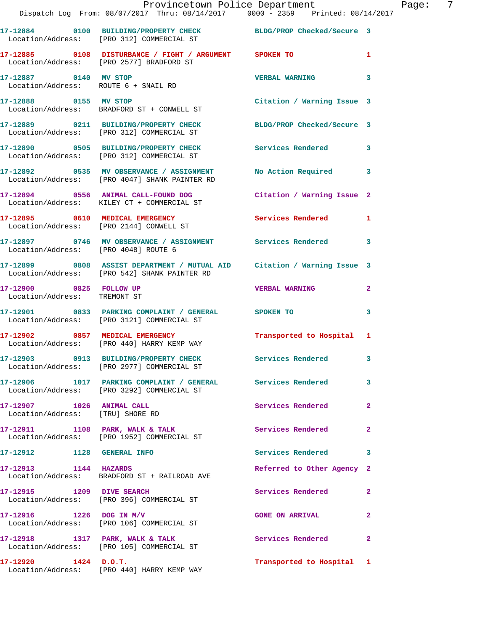|                                                               | Provincetown Police Department The Page: 7<br>Dispatch Log From: 08/07/2017 Thru: 08/14/2017 0000 - 2359 Printed: 08/14/2017 |                            |              |
|---------------------------------------------------------------|------------------------------------------------------------------------------------------------------------------------------|----------------------------|--------------|
|                                                               | 17-12884 0100 BUILDING/PROPERTY CHECK BLDG/PROP Checked/Secure 3<br>Location/Address: [PRO 312] COMMERCIAL ST                |                            |              |
|                                                               | 17-12885 0108 DISTURBANCE / FIGHT / ARGUMENT SPOKEN TO<br>Location/Address: [PRO 2577] BRADFORD ST                           |                            | $\mathbf{1}$ |
|                                                               | 17-12887 0140 MV STOP<br>Location/Address: ROUTE 6 + SNAIL RD                                                                | <b>VERBAL WARNING</b>      | 3            |
|                                                               | 17-12888 0155 MV STOP Citation / Warning Issue 3<br>Location/Address: BRADFORD ST + CONWELL ST                               |                            |              |
|                                                               | 17-12889 0211 BUILDING/PROPERTY CHECK BLDG/PROP Checked/Secure 3<br>Location/Address: [PRO 312] COMMERCIAL ST                |                            |              |
|                                                               | 17-12890 0505 BUILDING/PROPERTY CHECK Services Rendered<br>Location/Address: [PRO 312] COMMERCIAL ST                         |                            | 3            |
|                                                               | 17-12892 0535 MV OBSERVANCE / ASSIGNMENT No Action Required 3<br>Location/Address: [PRO 4047] SHANK PAINTER RD               |                            |              |
|                                                               | 17-12894 0556 ANIMAL CALL-FOUND DOG Citation / Warning Issue 2<br>Location/Address: KILEY CT + COMMERCIAL ST                 |                            |              |
|                                                               | 17-12895 0610 MEDICAL EMERGENCY Services Rendered 1<br>Location/Address: [PRO 2144] CONWELL ST                               |                            |              |
| Location/Address: [PRO 4048] ROUTE 6                          | 17-12897 0746 MV OBSERVANCE / ASSIGNMENT Services Rendered                                                                   |                            | 3            |
|                                                               | 17-12899 0808 ASSIST DEPARTMENT / MUTUAL AID Citation / Warning Issue 3<br>Location/Address: [PRO 542] SHANK PAINTER RD      |                            |              |
| 17-12900 0825 FOLLOW UP<br>Location/Address: TREMONT ST       |                                                                                                                              | <b>VERBAL WARNING</b>      | $\mathbf{2}$ |
|                                                               | 17-12901 0833 PARKING COMPLAINT / GENERAL SPOKEN TO<br>Location/Address: [PRO 3121] COMMERCIAL ST                            |                            | 3            |
|                                                               | 17-12902 0857 MEDICAL EMERGENCY<br>Location/Address: [PRO 440] HARRY KEMP WAY                                                | Transported to Hospital 1  |              |
|                                                               | 17-12903 0913 BUILDING/PROPERTY CHECK<br>Location/Address: [PRO 2977] COMMERCIAL ST                                          | <b>Services Rendered</b>   |              |
|                                                               | 17-12906 1017 PARKING COMPLAINT / GENERAL Services Rendered<br>Location/Address: [PRO 3292] COMMERCIAL ST                    |                            | 3            |
| 17-12907 1026 ANIMAL CALL<br>Location/Address: [TRU] SHORE RD |                                                                                                                              | Services Rendered          | $\mathbf{2}$ |
|                                                               | 17-12911 1108 PARK, WALK & TALK<br>Location/Address: [PRO 1952] COMMERCIAL ST                                                | <b>Services Rendered</b>   | $\mathbf{2}$ |
| 17-12912 1128 GENERAL INFO                                    |                                                                                                                              | Services Rendered 3        |              |
| 17-12913 1144 HAZARDS                                         | Location/Address: BRADFORD ST + RAILROAD AVE                                                                                 | Referred to Other Agency 2 |              |
|                                                               | 17-12915 1209 DIVE SEARCH<br>Location/Address: [PRO 396] COMMERCIAL ST                                                       | Services Rendered          | $\mathbf{2}$ |
|                                                               | 17-12916 1226 DOG IN M/V<br>Location/Address: [PRO 106] COMMERCIAL ST                                                        | <b>GONE ON ARRIVAL</b>     | $\mathbf{2}$ |
|                                                               | 17-12918 1317 PARK, WALK & TALK<br>Location/Address: [PRO 105] COMMERCIAL ST                                                 | Services Rendered          | $\mathbf{2}$ |
|                                                               | $17-12920$ $1424$ $D.0.T.$<br>Location/Address: [PRO 440] HARRY KEMP WAY                                                     | Transported to Hospital 1  |              |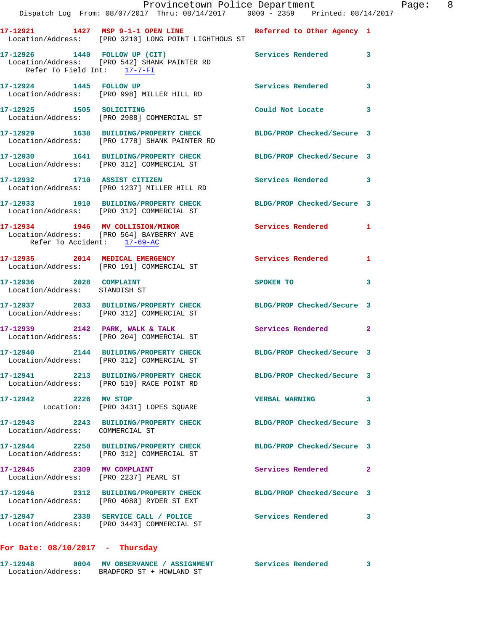|                                                              | Provincetown Police Department<br>Dispatch Log From: 08/07/2017 Thru: 08/14/2017 0000 - 2359 Printed: 08/14/2017     |                            |              |
|--------------------------------------------------------------|----------------------------------------------------------------------------------------------------------------------|----------------------------|--------------|
|                                                              | 17-12921 1427 MSP 9-1-1 OPEN LINE Referred to Other Agency 1<br>Location/Address: [PRO 3210] LONG POINT LIGHTHOUS ST |                            |              |
| 17-12926 1440 FOLLOW UP (CIT)<br>Refer To Field Int: 17-7-FI |                                                                                                                      | Services Rendered          | 3            |
| 17-12924 1445 FOLLOW UP                                      | Location/Address: [PRO 998] MILLER HILL RD                                                                           | <b>Services Rendered</b>   | 3            |
|                                                              | 17-12925 1505 SOLICITING<br>Location/Address: [PRO 2988] COMMERCIAL ST                                               | Could Not Locate           | 3            |
|                                                              | 17-12929 1638 BUILDING/PROPERTY CHECK BLDG/PROP Checked/Secure 3<br>Location/Address: [PRO 1778] SHANK PAINTER RD    |                            |              |
|                                                              | 17-12930 1641 BUILDING/PROPERTY CHECK BLDG/PROP Checked/Secure 3<br>Location/Address: [PRO 312] COMMERCIAL ST        |                            |              |
|                                                              | 17-12932 1710 ASSIST CITIZEN<br>Location/Address: [PRO 1237] MILLER HILL RD                                          | Services Rendered          | 3            |
|                                                              | 17-12933 1910 BUILDING/PROPERTY CHECK BLDG/PROP Checked/Secure 3<br>Location/Address: [PRO 312] COMMERCIAL ST        |                            |              |
| Refer To Accident: 17-69-AC                                  | 17-12934 1946 MV COLLISION/MINOR<br>Location/Address: [PRO 564] BAYBERRY AVE                                         | Services Rendered          | 1            |
|                                                              | 17-12935 2014 MEDICAL EMERGENCY<br>Location/Address: [PRO 191] COMMERCIAL ST                                         | Services Rendered          | 1            |
| 17-12936 2028 COMPLAINT<br>Location/Address: STANDISH ST     |                                                                                                                      | SPOKEN TO                  | 3            |
|                                                              | 17-12937 2033 BUILDING/PROPERTY CHECK<br>Location/Address: [PRO 312] COMMERCIAL ST                                   | BLDG/PROP Checked/Secure 3 |              |
|                                                              | 17-12939 2142 PARK, WALK & TALK<br>Location/Address: [PRO 204] COMMERCIAL ST                                         | <b>Services Rendered</b>   | $\mathbf{2}$ |
|                                                              | 17-12940 2144 BUILDING/PROPERTY CHECK BLDG/PROP Checked/Secure 3<br>Location/Address: [PRO 312] COMMERCIAL ST        |                            |              |
|                                                              | 17-12941 2213 BUILDING/PROPERTY CHECK BLDG/PROP Checked/Secure 3<br>Location/Address: [PRO 519] RACE POINT RD        |                            |              |
| 17-12942 2226 MV STOP                                        | Location: [PRO 3431] LOPES SQUARE                                                                                    | <b>VERBAL WARNING</b>      | 3            |
| Location/Address: COMMERCIAL ST                              | 17-12943 2243 BUILDING/PROPERTY CHECK BLDG/PROP Checked/Secure 3                                                     |                            |              |
|                                                              | 17-12944 2250 BUILDING/PROPERTY CHECK<br>Location/Address: [PRO 312] COMMERCIAL ST                                   | BLDG/PROP Checked/Secure 3 |              |
| 17-12945 2309 MV COMPLAINT                                   | Location/Address: [PRO 2237] PEARL ST                                                                                | Services Rendered          | 2            |
|                                                              | 17-12946 2312 BUILDING/PROPERTY CHECK<br>Location/Address: [PRO 4080] RYDER ST EXT                                   | BLDG/PROP Checked/Secure 3 |              |
|                                                              | 17-12947 2338 SERVICE CALL / POLICE<br>Location/Address: [PRO 3443] COMMERCIAL ST                                    | <b>Services Rendered</b>   | 3            |
| For Date: $08/10/2017$ - Thursday                            |                                                                                                                      |                            |              |

| 17-12948          | 0004 | <b>MV OBSERVANCE / ASSIGNMENT</b> | <b>Services Rendered</b> |  |
|-------------------|------|-----------------------------------|--------------------------|--|
| Location/Address: |      | BRADFORD ST + HOWLAND ST          |                          |  |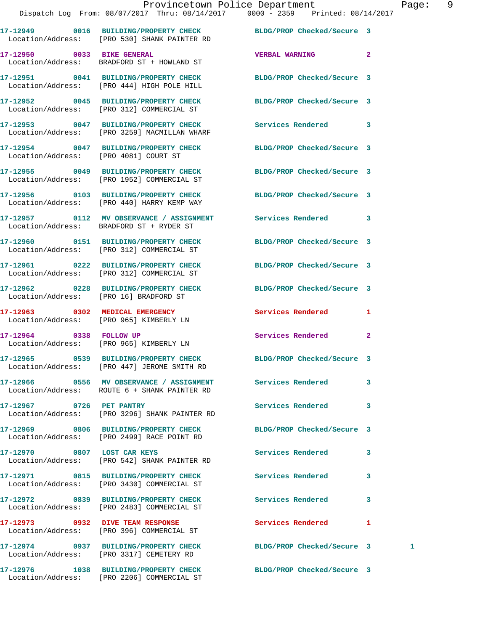|                                       | 17-12949 0016 BUILDING/PROPERTY CHECK BLDG/PROP Checked/Secure 3<br>Location/Address: [PRO 530] SHANK PAINTER RD |                            |                |   |
|---------------------------------------|------------------------------------------------------------------------------------------------------------------|----------------------------|----------------|---|
|                                       | 17-12950 0033 BIKE GENERAL<br>Location/Address: BRADFORD ST + HOWLAND ST                                         | <b>VERBAL WARNING</b>      | $\overline{2}$ |   |
|                                       | 17-12951 0041 BUILDING/PROPERTY CHECK<br>Location/Address: [PRO 444] HIGH POLE HILL                              | BLDG/PROP Checked/Secure 3 |                |   |
|                                       | 17-12952 0045 BUILDING/PROPERTY CHECK<br>Location/Address: [PRO 312] COMMERCIAL ST                               | BLDG/PROP Checked/Secure 3 |                |   |
|                                       | 17-12953 0047 BUILDING/PROPERTY CHECK<br>Location/Address: [PRO 3259] MACMILLAN WHARF                            | Services Rendered          | 3              |   |
| Location/Address: [PRO 4081] COURT ST | 17-12954 0047 BUILDING/PROPERTY CHECK BLDG/PROP Checked/Secure 3                                                 |                            |                |   |
|                                       | 17-12955 0049 BUILDING/PROPERTY CHECK<br>Location/Address: [PRO 1952] COMMERCIAL ST                              | BLDG/PROP Checked/Secure 3 |                |   |
|                                       | 17-12956 0103 BUILDING/PROPERTY CHECK BLDG/PROP Checked/Secure 3<br>Location/Address: [PRO 440] HARRY KEMP WAY   |                            |                |   |
|                                       | 17-12957 0112 MV OBSERVANCE / ASSIGNMENT Services Rendered<br>Location/Address: BRADFORD ST + RYDER ST           |                            | 3              |   |
|                                       | 17-12960 0151 BUILDING/PROPERTY CHECK<br>Location/Address: [PRO 312] COMMERCIAL ST                               | BLDG/PROP Checked/Secure 3 |                |   |
|                                       | 17-12961 0222 BUILDING/PROPERTY CHECK BLDG/PROP Checked/Secure 3<br>Location/Address: [PRO 312] COMMERCIAL ST    |                            |                |   |
|                                       | 17-12962 0228 BUILDING/PROPERTY CHECK BLDG/PROP Checked/Secure 3<br>Location/Address: [PRO 16] BRADFORD ST       |                            |                |   |
|                                       | 17-12963 0302 MEDICAL EMERGENCY<br>Location/Address: [PRO 965] KIMBERLY LN                                       | Services Rendered          | 1              |   |
| 17-12964 0338 FOLLOW UP               | Location/Address: [PRO 965] KIMBERLY LN                                                                          | Services Rendered          | $\mathbf{2}$   |   |
|                                       | 17-12965 0539 BUILDING/PROPERTY CHECK<br>Location/Address: [PRO 447] JEROME SMITH RD                             | BLDG/PROP Checked/Secure 3 |                |   |
|                                       | 17-12966 0556 MV OBSERVANCE / ASSIGNMENT<br>Location/Address: ROUTE 6 + SHANK PAINTER RD                         | Services Rendered 3        |                |   |
| 17-12967 0726 PET PANTRY              | Location/Address: [PRO 3296] SHANK PAINTER RD                                                                    | <b>Services Rendered</b>   | 3              |   |
|                                       | 17-12969 0806 BUILDING/PROPERTY CHECK<br>Location/Address: [PRO 2499] RACE POINT RD                              | BLDG/PROP Checked/Secure 3 |                |   |
|                                       | 17-12970 0807 LOST CAR KEYS<br>Location/Address: [PRO 542] SHANK PAINTER RD                                      | Services Rendered          | 3              |   |
|                                       | 17-12971 0815 BUILDING/PROPERTY CHECK<br>Location/Address: [PRO 3430] COMMERCIAL ST                              | Services Rendered          | 3              |   |
|                                       | 17-12972 0839 BUILDING/PROPERTY CHECK<br>Location/Address: [PRO 2483] COMMERCIAL ST                              | <b>Services Rendered</b>   | 3              |   |
|                                       | 17-12973 0932 DIVE TEAM RESPONSE<br>Location/Address: [PRO 396] COMMERCIAL ST                                    | Services Rendered          | 1              |   |
|                                       | 17-12974 0937 BUILDING/PROPERTY CHECK<br>Location/Address: [PRO 3317] CEMETERY RD                                | BLDG/PROP Checked/Secure 3 |                | 1 |
|                                       | 17-12976 1038 BUILDING/PROPERTY CHECK                                                                            | BLDG/PROP Checked/Secure 3 |                |   |

Location/Address: [PRO 2206] COMMERCIAL ST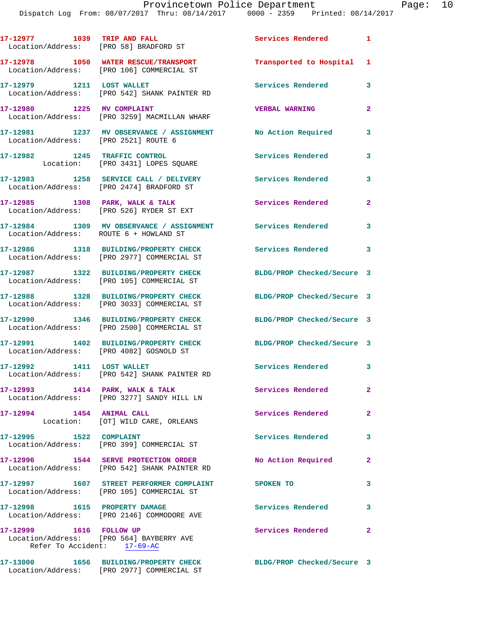| 17-12977 1039 TRIP AND FALL<br>Location/Address: [PRO 58] BRADFORD ST |                                                                                                 | Services Rendered 1        |                |
|-----------------------------------------------------------------------|-------------------------------------------------------------------------------------------------|----------------------------|----------------|
|                                                                       | 17-12978 1050 WATER RESCUE/TRANSPORT<br>Location/Address: [PRO 106] COMMERCIAL ST               | Transported to Hospital 1  |                |
|                                                                       | 17-12979 1211 LOST WALLET<br>Location/Address: [PRO 542] SHANK PAINTER RD                       | Services Rendered          | 3              |
| 17-12980 1225 MV COMPLAINT                                            | Location/Address: [PRO 3259] MACMILLAN WHARF                                                    | <b>VERBAL WARNING</b>      | $\overline{2}$ |
| Location/Address: [PRO 2521] ROUTE 6                                  | 17-12981 1237 MV OBSERVANCE / ASSIGNMENT No Action Required                                     |                            | 3              |
| 17-12982 1245 TRAFFIC CONTROL                                         | Location: [PRO 3431] LOPES SQUARE                                                               | <b>Services Rendered</b>   | 3              |
|                                                                       | 17-12983 1258 SERVICE CALL / DELIVERY<br>Location/Address: [PRO 2474] BRADFORD ST               | <b>Services Rendered</b>   | 3              |
|                                                                       | 17-12985 1308 PARK, WALK & TALK<br>Location/Address: [PRO 526] RYDER ST EXT                     | <b>Services Rendered</b>   | $\overline{2}$ |
| Location/Address: ROUTE 6 + HOWLAND ST                                | 17-12984 1309 MV OBSERVANCE / ASSIGNMENT Services Rendered                                      |                            | 3              |
|                                                                       | 17-12986 1318 BUILDING/PROPERTY CHECK<br>Location/Address: [PRO 2977] COMMERCIAL ST             | <b>Services Rendered</b>   | 3              |
|                                                                       | 17-12987 1322 BUILDING/PROPERTY CHECK<br>Location/Address: [PRO 105] COMMERCIAL ST              | BLDG/PROP Checked/Secure 3 |                |
|                                                                       | 17-12988 1328 BUILDING/PROPERTY CHECK<br>Location/Address: [PRO 3033] COMMERCIAL ST             | BLDG/PROP Checked/Secure 3 |                |
|                                                                       | 17-12990 1346 BUILDING/PROPERTY CHECK<br>Location/Address: [PRO 2500] COMMERCIAL ST             | BLDG/PROP Checked/Secure 3 |                |
| Location/Address: [PRO 4082] GOSNOLD ST                               | 17-12991 1402 BUILDING/PROPERTY CHECK                                                           | BLDG/PROP Checked/Secure 3 |                |
| 17-12992 1411 LOST WALLET                                             | Location/Address: [PRO 542] SHANK PAINTER RD                                                    | Services Rendered 3        |                |
|                                                                       | 17-12993 1414 PARK, WALK & TALK<br>Location/Address: [PRO 3277] SANDY HILL LN                   | Services Rendered          | 2 <sup>1</sup> |
| 17-12994 1454 ANIMAL CALL                                             | Location: [OT] WILD CARE, ORLEANS                                                               | Services Rendered          | $\overline{a}$ |
| 17-12995 1522 COMPLAINT                                               | Location/Address: [PRO 399] COMMERCIAL ST                                                       | Services Rendered          | 3              |
|                                                                       | 17-12996 1544 SERVE PROTECTION ORDER<br>Location/Address: [PRO 542] SHANK PAINTER RD            | No Action Required         | $\overline{2}$ |
|                                                                       | 17-12997 1607 STREET PERFORMER COMPLAINT SPOKEN TO<br>Location/Address: [PRO 105] COMMERCIAL ST |                            | 3              |
| 17-12998 1615 PROPERTY DAMAGE                                         | Location/Address: [PRO 2146] COMMODORE AVE                                                      | Services Rendered          | $\mathbf{3}$   |
| 17-12999 1616 FOLLOW UP<br>Refer To Accident: 17-69-AC                | Location/Address: [PRO 564] BAYBERRY AVE                                                        | <b>Services Rendered</b>   | $\mathbf{2}$   |
|                                                                       | 17-13000 1656 BUILDING/PROPERTY CHECK                                                           | BLDG/PROP Checked/Secure 3 |                |

Location/Address: [PRO 2977] COMMERCIAL ST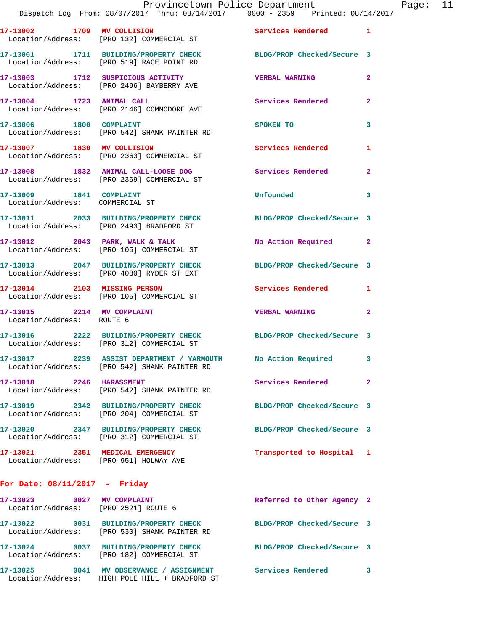|                                                                           | 17-13002 1709 MV COLLISION<br>Location/Address: [PRO 132] COMMERCIAL ST                                         | Services Rendered 1        |                |
|---------------------------------------------------------------------------|-----------------------------------------------------------------------------------------------------------------|----------------------------|----------------|
|                                                                           | 17-13001 1711 BUILDING/PROPERTY CHECK<br>Location/Address: [PRO 519] RACE POINT RD                              | BLDG/PROP Checked/Secure 3 |                |
|                                                                           | 17-13003 1712 SUSPICIOUS ACTIVITY<br>Location/Address: [PRO 2496] BAYBERRY AVE                                  | <b>VERBAL WARNING</b>      | $\overline{2}$ |
| 17-13004 1723 ANIMAL CALL                                                 | Location/Address: [PRO 2146] COMMODORE AVE                                                                      | Services Rendered          | $\overline{2}$ |
| 17-13006 1800 COMPLAINT                                                   | Location/Address: [PRO 542] SHANK PAINTER RD                                                                    | SPOKEN TO                  | 3              |
| 17-13007 1830 MV COLLISION                                                | Location/Address: [PRO 2363] COMMERCIAL ST                                                                      | Services Rendered          | 1              |
|                                                                           | 17-13008 1832 ANIMAL CALL-LOOSE DOG<br>Location/Address: [PRO 2369] COMMERCIAL ST                               | <b>Services Rendered</b>   | $\overline{2}$ |
| 17-13009 1841 COMPLAINT<br>Location/Address: COMMERCIAL ST                |                                                                                                                 | Unfounded                  | 3              |
|                                                                           | 17-13011 2033 BUILDING/PROPERTY CHECK<br>Location/Address: [PRO 2493] BRADFORD ST                               | BLDG/PROP Checked/Secure 3 |                |
|                                                                           | 17-13012 2043 PARK, WALK & TALK<br>Location/Address: [PRO 105] COMMERCIAL ST                                    | No Action Required         | $\mathbf{2}$   |
|                                                                           | 17-13013 2047 BUILDING/PROPERTY CHECK<br>Location/Address: [PRO 4080] RYDER ST EXT                              | BLDG/PROP Checked/Secure 3 |                |
|                                                                           | 17-13014 2103 MISSING PERSON<br>Location/Address: [PRO 105] COMMERCIAL ST                                       | Services Rendered 1        |                |
| 17-13015 2214 MV COMPLAINT<br>Location/Address: ROUTE 6                   |                                                                                                                 | <b>VERBAL WARNING</b>      | $\mathbf{2}$   |
|                                                                           | 17-13016 2222 BUILDING/PROPERTY CHECK BLDG/PROP Checked/Secure 3<br>Location/Address: [PRO 312] COMMERCIAL ST   |                            |                |
|                                                                           | 17-13017 2239 ASSIST DEPARTMENT / YARMOUTH No Action Required 3<br>Location/Address: [PRO 542] SHANK PAINTER RD |                            |                |
| 17-13018 2246 HARASSMENT                                                  | Location/Address: [PRO 542] SHANK PAINTER RD                                                                    | Services Rendered 2        |                |
|                                                                           | 17-13019 2342 BUILDING/PROPERTY CHECK<br>Location/Address: [PRO 204] COMMERCIAL ST                              | BLDG/PROP Checked/Secure 3 |                |
|                                                                           | 17-13020 2347 BUILDING/PROPERTY CHECK<br>Location/Address: [PRO 312] COMMERCIAL ST                              | BLDG/PROP Checked/Secure 3 |                |
| 17-13021 2351 MEDICAL EMERGENCY<br>Location/Address: [PRO 951] HOLWAY AVE |                                                                                                                 | Transported to Hospital 1  |                |
| For Date: $08/11/2017$ - Friday                                           |                                                                                                                 |                            |                |
| 17-13023 0027 MV COMPLAINT<br>Location/Address: [PRO 2521] ROUTE 6        |                                                                                                                 | Referred to Other Agency 2 |                |
|                                                                           | 17-13022 0031 BUILDING/PROPERTY CHECK<br>Location/Address: [PRO 530] SHANK PAINTER RD                           | BLDG/PROP Checked/Secure 3 |                |
|                                                                           | 17-13024 0037 BUILDING/PROPERTY CHECK<br>Location/Address: [PRO 182] COMMERCIAL ST                              | BLDG/PROP Checked/Secure 3 |                |
|                                                                           |                                                                                                                 | Services Rendered 3        |                |

Location/Address: HIGH POLE HILL + BRADFORD ST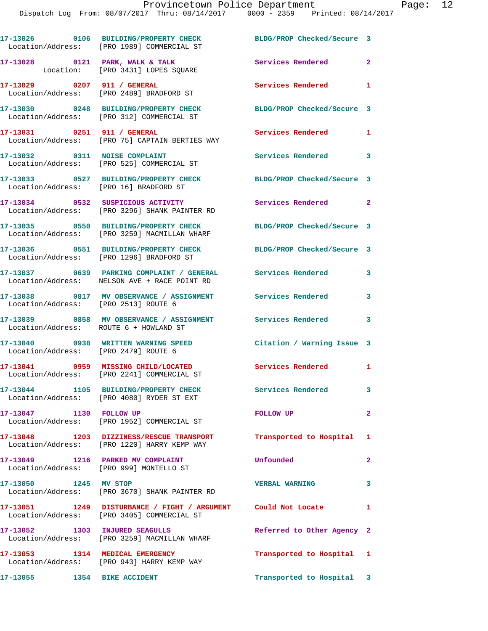|                                        | 17-13026 0106 BUILDING/PROPERTY CHECK<br>Location/Address: [PRO 1989] COMMERCIAL ST                           | BLDG/PROP Checked/Secure 3   |                |
|----------------------------------------|---------------------------------------------------------------------------------------------------------------|------------------------------|----------------|
|                                        | 17-13028 0121 PARK, WALK & TALK<br>Location: [PRO 3431] LOPES SQUARE                                          | Services Rendered 2          |                |
|                                        | 17-13029 0207 911 / GENERAL<br>Location/Address: [PRO 2489] BRADFORD ST                                       | Services Rendered 1          |                |
|                                        | 17-13030 0248 BUILDING/PROPERTY CHECK<br>Location/Address: [PRO 312] COMMERCIAL ST                            | BLDG/PROP Checked/Secure 3   |                |
|                                        | 17-13031 0251 911 / GENERAL<br>Location/Address: [PRO 75] CAPTAIN BERTIES WAY                                 | Services Rendered            | $\mathbf{1}$   |
| 17-13032 0311 NOISE COMPLAINT          | Location/Address: [PRO 525] COMMERCIAL ST                                                                     | Services Rendered 3          |                |
| Location/Address: [PRO 16] BRADFORD ST | 17-13033 0527 BUILDING/PROPERTY CHECK                                                                         | BLDG/PROP Checked/Secure 3   |                |
|                                        | 17-13034 0532 SUSPICIOUS ACTIVITY<br>Location/Address: [PRO 3296] SHANK PAINTER RD                            | Services Rendered 2          |                |
|                                        | 17-13035 0550 BUILDING/PROPERTY CHECK<br>Location/Address: [PRO 3259] MACMILLAN WHARF                         | BLDG/PROP Checked/Secure 3   |                |
|                                        | 17-13036 0551 BUILDING/PROPERTY CHECK BLDG/PROP Checked/Secure 3<br>Location/Address: [PRO 1296] BRADFORD ST  |                              |                |
|                                        | 17-13037 0639 PARKING COMPLAINT / GENERAL Services Rendered 3<br>Location/Address: NELSON AVE + RACE POINT RD |                              |                |
| Location/Address: [PRO 2513] ROUTE 6   | 17-13038 0817 MV OBSERVANCE / ASSIGNMENT Services Rendered                                                    |                              | $\mathbf{3}$   |
| Location/Address: ROUTE 6 + HOWLAND ST | 17-13039 0858 MV OBSERVANCE / ASSIGNMENT Services Rendered 3                                                  |                              |                |
|                                        | 17-13040 0938 WRITTEN WARNING SPEED<br>Location/Address: [PRO 2479] ROUTE 6                                   | Citation / Warning Issue 3   |                |
|                                        | 17-13041 0959 MISSING CHILD/LOCATED<br>Location/Address: [PRO 2241] COMMERCIAL ST                             | <b>Services Rendered 1 1</b> |                |
|                                        | 17-13044 1105 BUILDING/PROPERTY CHECK<br>Location/Address: [PRO 4080] RYDER ST EXT                            | <b>Services Rendered</b>     | $\mathbf{3}$   |
| 17-13047 1130 FOLLOW UP                | Location/Address: [PRO 1952] COMMERCIAL ST                                                                    | <b>FOLLOW UP</b>             | $\overline{2}$ |
|                                        | 17-13048 1203 DIZZINESS/RESCUE TRANSPORT<br>Location/Address: [PRO 1220] HARRY KEMP WAY                       | Transported to Hospital 1    |                |
|                                        | 17-13049 1216 PARKED MV COMPLAINT<br>Location/Address: [PRO 999] MONTELLO ST                                  | Unfounded                    | $\overline{2}$ |
| 17-13050 1245 MV STOP                  | Location/Address: [PRO 3670] SHANK PAINTER RD                                                                 | <b>VERBAL WARNING</b>        | $\mathbf{3}$   |
|                                        | 17-13051 1249 DISTURBANCE / FIGHT / ARGUMENT Could Not Locate 1<br>Location/Address: [PRO 3405] COMMERCIAL ST |                              |                |
|                                        | 17-13052 1303 INJURED SEAGULLS<br>Location/Address: [PRO 3259] MACMILLAN WHARF                                | Referred to Other Agency 2   |                |
| 17-13053 1314 MEDICAL EMERGENCY        | Location/Address: [PRO 943] HARRY KEMP WAY                                                                    | Transported to Hospital 1    |                |
| 17-13055 1354 BIKE ACCIDENT            |                                                                                                               | Transported to Hospital 3    |                |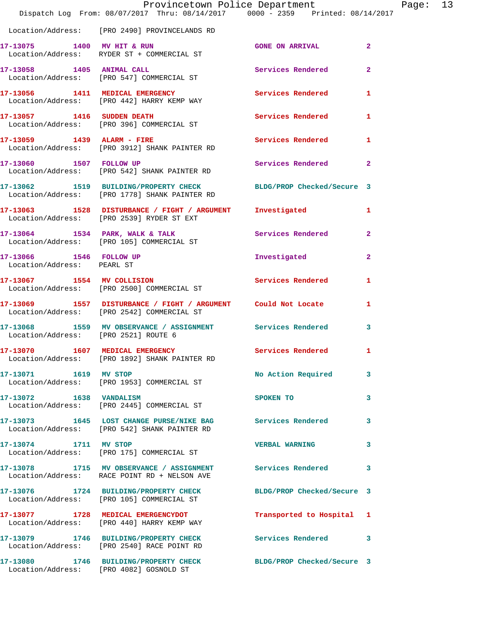|                                                       | Dispatch Log From: 08/07/2017 Thru: 08/14/2017 0000 - 2359 Printed: 08/14/2017                                    | Provincetown Police Department |                | Page: 13 |  |
|-------------------------------------------------------|-------------------------------------------------------------------------------------------------------------------|--------------------------------|----------------|----------|--|
|                                                       | Location/Address: [PRO 2490] PROVINCELANDS RD                                                                     |                                |                |          |  |
|                                                       | 17-13075 1400 MV HIT & RUN<br>Location/Address: RYDER ST + COMMERCIAL ST                                          | <b>GONE ON ARRIVAL</b>         | $\mathbf{2}$   |          |  |
|                                                       | 17-13058 1405 ANIMAL CALL<br>Location/Address: [PRO 547] COMMERCIAL ST                                            | Services Rendered              | $\overline{2}$ |          |  |
|                                                       | 17-13056 1411 MEDICAL EMERGENCY<br>Location/Address: [PRO 442] HARRY KEMP WAY                                     | Services Rendered 1            |                |          |  |
|                                                       | 17-13057 1416 SUDDEN DEATH<br>Location/Address: [PRO 396] COMMERCIAL ST                                           | Services Rendered 1            |                |          |  |
|                                                       | 17-13059 1439 ALARM - FIRE Services Rendered 1<br>Location/Address: [PRO 3912] SHANK PAINTER RD                   |                                |                |          |  |
|                                                       | 17-13060 1507 FOLLOW UP<br>Location/Address: [PRO 542] SHANK PAINTER RD                                           | Services Rendered 2            |                |          |  |
|                                                       | 17-13062 1519 BUILDING/PROPERTY CHECK BLDG/PROP Checked/Secure 3<br>Location/Address: [PRO 1778] SHANK PAINTER RD |                                |                |          |  |
|                                                       | 17-13063 1528 DISTURBANCE / FIGHT / ARGUMENT Investigated<br>Location/Address: [PRO 2539] RYDER ST EXT            |                                | $\mathbf{1}$   |          |  |
|                                                       | 17-13064 1534 PARK, WALK & TALK<br>Location/Address: [PRO 105] COMMERCIAL ST                                      | Services Rendered 2            |                |          |  |
| 17-13066 1546 FOLLOW UP<br>Location/Address: PEARL ST |                                                                                                                   | Investigated                   | $\mathbf{2}$   |          |  |
|                                                       | 17-13067 1554 MV COLLISION<br>Location/Address: [PRO 2500] COMMERCIAL ST                                          | <b>Services Rendered</b>       | 1              |          |  |
|                                                       | 17-13069 1557 DISTURBANCE / FIGHT / ARGUMENT Could Not Locate 1<br>Location/Address: [PRO 2542] COMMERCIAL ST     |                                |                |          |  |
| Location/Address: [PRO 2521] ROUTE 6                  | 17-13068 1559 MV OBSERVANCE / ASSIGNMENT Services Rendered 3                                                      |                                |                |          |  |
|                                                       | 17-13070 1607 MEDICAL EMERGENCY<br>Location/Address: [PRO 1892] SHANK PAINTER RD                                  | Services Rendered 1            |                |          |  |
| 17-13071 1619 MV STOP                                 | Location/Address: [PRO 1953] COMMERCIAL ST                                                                        | No Action Required 3           |                |          |  |
| 17-13072 1638 VANDALISM                               | Location/Address: [PRO 2445] COMMERCIAL ST                                                                        | SPOKEN TO                      | 3              |          |  |
|                                                       | 17-13073 1645 LOST CHANGE PURSE/NIKE BAG Services Rendered 3<br>Location/Address: [PRO 542] SHANK PAINTER RD      |                                |                |          |  |
| 17-13074 1711 MV STOP                                 | Location/Address: [PRO 175] COMMERCIAL ST                                                                         | <b>VERBAL WARNING</b>          | 3              |          |  |
|                                                       | 17-13078 1715 MV OBSERVANCE / ASSIGNMENT Services Rendered 3<br>Location/Address: RACE POINT RD + NELSON AVE      |                                |                |          |  |
|                                                       | 17-13076 1724 BUILDING/PROPERTY CHECK BLDG/PROP Checked/Secure 3<br>Location/Address: [PRO 105] COMMERCIAL ST     |                                |                |          |  |
|                                                       | 17-13077 1728 MEDICAL EMERGENCYDOT<br>Location/Address: [PRO 440] HARRY KEMP WAY                                  | Transported to Hospital 1      |                |          |  |
|                                                       | 17-13079 1746 BUILDING/PROPERTY CHECK Services Rendered 3<br>Location/Address: [PRO 2540] RACE POINT RD           |                                |                |          |  |
|                                                       | 17-13080 1746 BUILDING/PROPERTY CHECK BLDG/PROP Checked/Secure 3<br>Location/Address: [PRO 4082] GOSNOLD ST       |                                |                |          |  |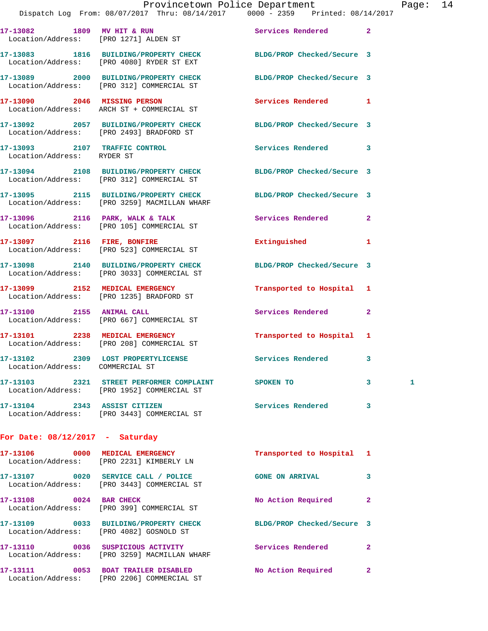**17-13089 2000 BUILDING/PROPERTY CHECK BLDG/PROP Checked/Secure 3**  Location/Address: [PRO 312] COMMERCIAL ST

**17-13090 2046 MISSING PERSON Services Rendered 1**  Location/Address: ARCH ST + COMMERCIAL ST

**17-13092 2057 BUILDING/PROPERTY CHECK BLDG/PROP Checked/Secure 3**  Location/Address: [PRO 2493] BRADFORD ST

**17-13093 2107 TRAFFIC CONTROL Services Rendered 3**  Location/Address: RYDER ST

Location/Address: [PRO 4080] RYDER ST EXT

**17-13094 2108 BUILDING/PROPERTY CHECK BLDG/PROP Checked/Secure 3**  Location/Address: [PRO 312] COMMERCIAL ST

**17-13095 2115 BUILDING/PROPERTY CHECK BLDG/PROP Checked/Secure 3**  Location/Address: [PRO 3259] MACMILLAN WHARF

**17-13096 2116 PARK, WALK & TALK Services Rendered 2**  Location/Address: [PRO 105] COMMERCIAL ST

**17-13097 2116 FIRE, BONFIRE Extinguished 1**  Location/Address: [PRO 523] COMMERCIAL ST

**17-13098 2140 BUILDING/PROPERTY CHECK BLDG/PROP Checked/Secure 3**  Location/Address: [PRO 3033] COMMERCIAL ST

**17-13099 2152 MEDICAL EMERGENCY Transported to Hospital 1**  Location/Address: [PRO 1235] BRADFORD ST

**17-13100 2155 ANIMAL CALL Services Rendered 2**  Location/Address: [PRO 667] COMMERCIAL ST

**17-13101 2238 MEDICAL EMERGENCY Transported to Hospital 1**  Location/Address: [PRO 208] COMMERCIAL ST

Location/Address: COMMERCIAL ST

**17-13102 2309 LOST PROPERTYLICENSE Services Rendered 3** 

**17-13103 2321 STREET PERFORMER COMPLAINT SPOKEN TO 3 1**  Location/Address: [PRO 1952] COMMERCIAL ST

**17-13104 2343 ASSIST CITIZEN Services Rendered 3**  Location/Address: [PRO 3443] COMMERCIAL ST

## **For Date: 08/12/2017 - Saturday**

| 0000<br>17-13106<br>Location/Address: | MEDICAL EMERGENCY<br>[PRO 2231] KIMBERLY LN              | Transported to Hospital    | $\blacksquare$ |
|---------------------------------------|----------------------------------------------------------|----------------------------|----------------|
| 17-13107<br>0020<br>Location/Address: | SERVICE CALL / POLICE<br>[PRO 3443] COMMERCIAL ST        | <b>GONE ON ARRIVAL</b>     | 3              |
| 0024<br>17-13108<br>Location/Address: | <b>BAR CHECK</b><br>[PRO 399] COMMERCIAL ST              | No Action Required         | $\mathbf{2}$   |
| 0033<br>17-13109<br>Location/Address: | <b>BUILDING/PROPERTY CHECK</b><br>FRO 40821 GOSNOLD ST   | BLDG/PROP Checked/Secure 3 |                |
| 17-13110<br>0036<br>Location/Address: | SUSPICIOUS ACTIVITY<br>[PRO 3259] MACMILLAN WHARF        | Services Rendered          | $\mathbf{2}$   |
| 17–13111<br>0053<br>Location/Address: | <b>BOAT TRAILER DISABLED</b><br>[PRO 2206] COMMERCIAL ST | No Action Required         | $\mathbf{2}$   |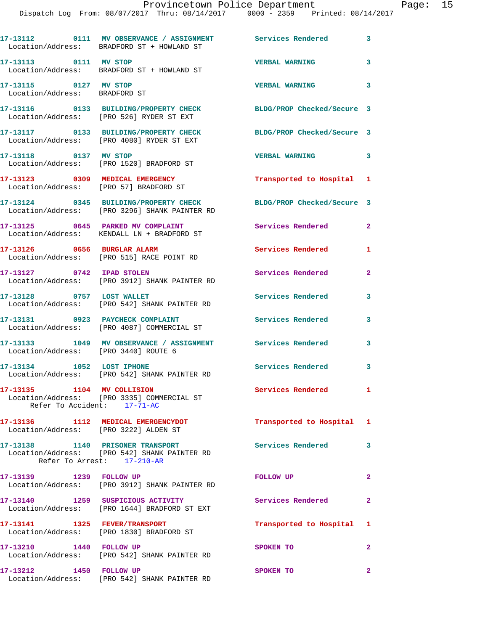Dispatch Log From: 08/07/2017 Thru: 08/14/2017 0000 - 2359 Printed: 08/14/2017

|                                                        | 17-13112 0111 MV OBSERVANCE / ASSIGNMENT Services Rendered<br>Location/Address: BRADFORD ST + HOWLAND ST       |                            | 3              |
|--------------------------------------------------------|----------------------------------------------------------------------------------------------------------------|----------------------------|----------------|
| 17-13113 0111 MV STOP                                  | Location/Address: BRADFORD ST + HOWLAND ST                                                                     | <b>VERBAL WARNING</b>      | 3              |
| 17-13115 0127 MV STOP<br>Location/Address: BRADFORD ST |                                                                                                                | <b>VERBAL WARNING</b>      | 3              |
|                                                        | 17-13116 0133 BUILDING/PROPERTY CHECK<br>Location/Address: [PRO 526] RYDER ST EXT                              | BLDG/PROP Checked/Secure 3 |                |
|                                                        | 17-13117 0133 BUILDING/PROPERTY CHECK<br>Location/Address: [PRO 4080] RYDER ST EXT                             | BLDG/PROP Checked/Secure 3 |                |
| 17-13118 0137 MV STOP                                  | Location/Address: [PRO 1520] BRADFORD ST                                                                       | <b>VERBAL WARNING</b>      | 3              |
|                                                        | 17-13123 0309 MEDICAL EMERGENCY<br>Location/Address: [PRO 57] BRADFORD ST                                      | Transported to Hospital 1  |                |
|                                                        | 17-13124 0345 BUILDING/PROPERTY CHECK<br>Location/Address: [PRO 3296] SHANK PAINTER RD                         | BLDG/PROP Checked/Secure 3 |                |
|                                                        | 17-13125 0645 PARKED MV COMPLAINT<br>Location/Address: KENDALL LN + BRADFORD ST                                | Services Rendered          | $\overline{2}$ |
|                                                        | 17-13126 0656 BURGLAR ALARM<br>Location/Address: [PRO 515] RACE POINT RD                                       | <b>Services Rendered</b>   | 1              |
| 17-13127 0742 IPAD STOLEN                              | Location/Address: [PRO 3912] SHANK PAINTER RD                                                                  | Services Rendered          | $\overline{2}$ |
| 17-13128 0757 LOST WALLET                              | Location/Address: [PRO 542] SHANK PAINTER RD                                                                   | <b>Services Rendered</b>   | 3              |
|                                                        | 17-13131 0923 PAYCHECK COMPLAINT<br>Location/Address: [PRO 4087] COMMERCIAL ST                                 | Services Rendered          | 3              |
| Location/Address: [PRO 3440] ROUTE 6                   | 17-13133 1049 MV OBSERVANCE / ASSIGNMENT Services Rendered                                                     |                            | 3              |
| 17-13134 1052 LOST IPHONE                              | Location/Address: [PRO 542] SHANK PAINTER RD                                                                   | <b>Services Rendered</b>   | 3              |
| 17-13135 1104 MV COLLISION                             | Location/Address: [PRO 3335] COMMERCIAL ST<br>Refer To Accident: 17-71-AC                                      | Services Rendered          | $\mathbf{1}$   |
|                                                        | 17-13136 1112 MEDICAL EMERGENCYDOT<br>Location/Address: [PRO 3222] ALDEN ST                                    | Transported to Hospital 1  |                |
|                                                        | 17-13138 1140 PRISONER TRANSPORT<br>Location/Address: [PRO 542] SHANK PAINTER RD<br>Refer To Arrest: 17-210-AR | <b>Services Rendered</b>   | 3              |
| 17-13139 1239 FOLLOW UP                                | Location/Address: [PRO 3912] SHANK PAINTER RD                                                                  | FOLLOW UP                  | $\mathbf{2}$   |
|                                                        | 17-13140 1259 SUSPICIOUS ACTIVITY<br>Location/Address: [PRO 1644] BRADFORD ST EXT                              | Services Rendered          | $\mathbf{2}$   |
| 17-13141 1325 FEVER/TRANSPORT                          | Location/Address: [PRO 1830] BRADFORD ST                                                                       | Transported to Hospital 1  |                |
| 17-13210 1440 FOLLOW UP                                | Location/Address: [PRO 542] SHANK PAINTER RD                                                                   | SPOKEN TO                  | $\overline{2}$ |
| 17-13212 1450 FOLLOW UP                                | Location/Address: [PRO 542] SHANK PAINTER RD                                                                   | SPOKEN TO                  | $\mathbf{2}$   |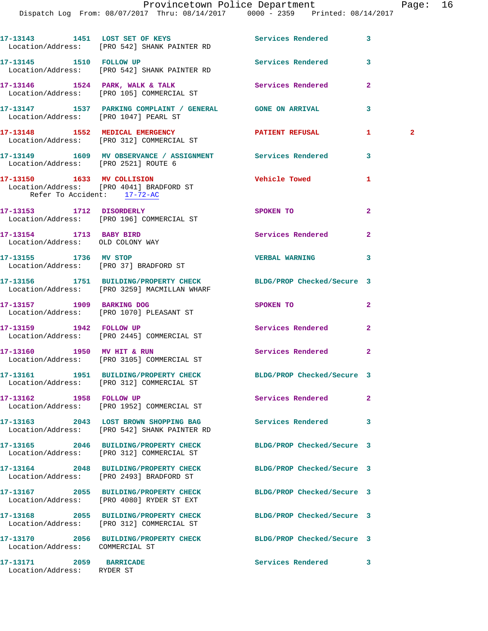Dispatch Log From: 08/07/2017 Thru: 08/14/2017 0000 - 2359 Printed: 08/14/2017

|                                                             | 17-13143 1451 LOST SET OF KEYS Services Rendered<br>Location/Address: [PRO 542] SHANK PAINTER RD                 |                            | 3              |              |
|-------------------------------------------------------------|------------------------------------------------------------------------------------------------------------------|----------------------------|----------------|--------------|
| 17-13145 1510 FOLLOW UP                                     | Location/Address: [PRO 542] SHANK PAINTER RD                                                                     | Services Rendered          | 3              |              |
|                                                             | 17-13146 1524 PARK, WALK & TALK<br>Location/Address: [PRO 105] COMMERCIAL ST                                     | Services Rendered          | $\mathbf{2}$   |              |
| Location/Address: [PRO 1047] PEARL ST                       | 17-13147 1537 PARKING COMPLAINT / GENERAL GONE ON ARRIVAL                                                        |                            | 3              |              |
|                                                             | 17-13148 1552 MEDICAL EMERGENCY<br>Location/Address: [PRO 312] COMMERCIAL ST                                     | <b>PATIENT REFUSAL</b>     | 1.             | $\mathbf{2}$ |
| Location/Address: [PRO 2521] ROUTE 6                        | 17-13149 1609 MV OBSERVANCE / ASSIGNMENT Services Rendered                                                       |                            | 3              |              |
| Refer To Accident: 17-72-AC                                 | 17-13150 1633 MV COLLISION<br>Location/Address: [PRO 4041] BRADFORD ST                                           | <b>Vehicle Towed</b>       | 1              |              |
| 17-13153    1712    DISORDERLY                              | Location/Address: [PRO 196] COMMERCIAL ST                                                                        | SPOKEN TO                  | $\overline{a}$ |              |
| 17-13154 1713 BABY BIRD<br>Location/Address: OLD COLONY WAY |                                                                                                                  | Services Rendered          | $\mathbf{2}$   |              |
| 17-13155 1736 MV STOP                                       | Location/Address: [PRO 37] BRADFORD ST                                                                           | <b>VERBAL WARNING</b>      | 3              |              |
|                                                             | 17-13156 1751 BUILDING/PROPERTY CHECK BLDG/PROP Checked/Secure 3<br>Location/Address: [PRO 3259] MACMILLAN WHARF |                            |                |              |
| 17-13157 1909 BARKING DOG                                   | Location/Address: [PRO 1070] PLEASANT ST                                                                         | SPOKEN TO                  | 2              |              |
|                                                             | 17-13159    1942    FOLLOW UP<br>Location/Address: [PRO 2445] COMMERCIAL ST                                      | Services Rendered          | $\overline{a}$ |              |
| 17-13160 1950 MV HIT & RUN                                  | Location/Address: [PRO 3105] COMMERCIAL ST                                                                       | Services Rendered          | $\mathbf{2}$   |              |
|                                                             | 17-13161 1951 BUILDING/PROPERTY CHECK BLDG/PROP Checked/Secure 3<br>Location/Address: [PRO 312] COMMERCIAL ST    |                            |                |              |
| 17-13162 1958 FOLLOW UP                                     | Location/Address: [PRO 1952] COMMERCIAL ST                                                                       | Services Rendered          | $\overline{a}$ |              |
|                                                             | 17-13163 2043 LOST BROWN SHOPPING BAG<br>Location/Address: [PRO 542] SHANK PAINTER RD                            | <b>Services Rendered</b>   | 3              |              |
|                                                             | 17-13165 2046 BUILDING/PROPERTY CHECK<br>Location/Address: [PRO 312] COMMERCIAL ST                               | BLDG/PROP Checked/Secure 3 |                |              |
|                                                             | 17-13164 2048 BUILDING/PROPERTY CHECK<br>Location/Address: [PRO 2493] BRADFORD ST                                | BLDG/PROP Checked/Secure 3 |                |              |
|                                                             | 17-13167 2055 BUILDING/PROPERTY CHECK<br>Location/Address: [PRO 4080] RYDER ST EXT                               | BLDG/PROP Checked/Secure 3 |                |              |
|                                                             | 17-13168 2055 BUILDING/PROPERTY CHECK<br>Location/Address: [PRO 312] COMMERCIAL ST                               | BLDG/PROP Checked/Secure 3 |                |              |
| Location/Address: COMMERCIAL ST                             | 17-13170 2056 BUILDING/PROPERTY CHECK                                                                            | BLDG/PROP Checked/Secure 3 |                |              |
| 17-13171 2059 BARRICADE<br>Location/Address: RYDER ST       |                                                                                                                  | Services Rendered          | 3              |              |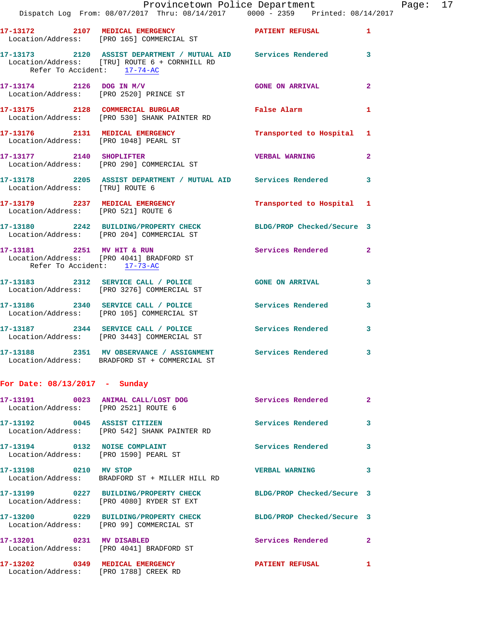|                                 | Provincetown Police Department<br>Dispatch Log From: 08/07/2017 Thru: 08/14/2017   0000 - 2359   Printed: 08/14/2017 |                           |                | Page: 17 |  |
|---------------------------------|----------------------------------------------------------------------------------------------------------------------|---------------------------|----------------|----------|--|
|                                 | 17-13172 2107 MEDICAL EMERGENCY PATIENT REFUSAL 1<br>Location/Address: [PRO 165] COMMERCIAL ST                       |                           |                |          |  |
| Refer To Accident: 17-74-AC     | 17-13173 2120 ASSIST DEPARTMENT / MUTUAL AID Services Rendered 3<br>Location/Address: [TRU] ROUTE 6 + CORNHILL RD    |                           |                |          |  |
|                                 | $17-13174$ 2126 DOG IN M/V<br>Location/Address: [PRO 2520] PRINCE ST                                                 | GONE ON ARRIVAL 2         |                |          |  |
|                                 | 17-13175 2128 COMMERCIAL BURGLAR<br>Location/Address: [PRO 530] SHANK PAINTER RD                                     | False Alarm 1             |                |          |  |
|                                 | 17-13176 2131 MEDICAL EMERGENCY Transported to Hospital 1<br>Location/Address: [PRO 1048] PEARL ST                   |                           |                |          |  |
|                                 | 17-13177 2140 SHOPLIFTER<br>Location/Address: [PRO 290] COMMERCIAL ST                                                | <b>VERBAL WARNING</b>     | $\overline{2}$ |          |  |
| Location/Address: [TRU] ROUTE 6 | 17-13178 2205 ASSIST DEPARTMENT / MUTUAL AID Services Rendered 3                                                     |                           |                |          |  |
|                                 | 17-13179 2237 MEDICAL EMERGENCY<br>Location/Address: [PRO 521] ROUTE 6                                               | Transported to Hospital 1 |                |          |  |
|                                 | 17-13180 2242 BUILDING/PROPERTY CHECK BLDG/PROP Checked/Secure 3<br>Location/Address: [PRO 204] COMMERCIAL ST        |                           |                |          |  |
| Refer To Accident: 17-73-AC     | 17-13181 2251 MV HIT & RUN<br>Location/Address: [PRO 4041] BRADFORD ST                                               | Services Rendered 2       |                |          |  |
|                                 | 17-13183 2312 SERVICE CALL / POLICE 600 GONE ON ARRIVAL 3<br>Location/Address: [PRO 3276] COMMERCIAL ST              |                           |                |          |  |
|                                 | 17-13186 2340 SERVICE CALL / POLICE Services Rendered 3<br>Location/Address: [PRO 105] COMMERCIAL ST                 |                           |                |          |  |
|                                 | 17-13187 2344 SERVICE CALL / POLICE Services Rendered 3<br>Location/Address: [PRO 3443] COMMERCIAL ST                |                           |                |          |  |
|                                 | 17-13188 2351 MV OBSERVANCE / ASSIGNMENT Services Rendered 3<br>Location/Address: BRADFORD ST + COMMERCIAL ST        |                           |                |          |  |
| For Date: $08/13/2017$ - Sunday |                                                                                                                      |                           |                |          |  |

| Location/Address: [PRO 2521] ROUTE 6                                   |                                                                                   | <b>Services Rendered</b>   | $\overline{2}$ |
|------------------------------------------------------------------------|-----------------------------------------------------------------------------------|----------------------------|----------------|
| 17-13192 0045 ASSIST CITIZEN                                           | Location/Address: [PRO 542] SHANK PAINTER RD                                      | <b>Services Rendered</b>   | $\mathbf{3}$   |
| 17-13194 0132 NOISE COMPLAINT<br>Location/Address: [PRO 1590] PEARL ST |                                                                                   | Services Rendered          | $\mathbf{3}$   |
| 17-13198 0210 MV STOP                                                  | Location/Address: BRADFORD ST + MILLER HILL RD                                    | <b>VERBAL WARNING</b>      | $\mathbf{3}$   |
|                                                                        | Location/Address: [PRO 4080] RYDER ST EXT                                         | BLDG/PROP Checked/Secure 3 |                |
|                                                                        | 17-13200 0229 BUILDING/PROPERTY CHECK<br>Location/Address: [PRO 99] COMMERCIAL ST | BLDG/PROP Checked/Secure 3 |                |
|                                                                        | Location/Address: [PRO 4041] BRADFORD ST                                          | Services Rendered          | $\overline{2}$ |
| 17-13202 0349<br>Location/Address: [PRO 1788] CREEK RD                 | <b>MEDICAL EMERGENCY</b>                                                          | <b>PATIENT REFUSAL</b>     | 1              |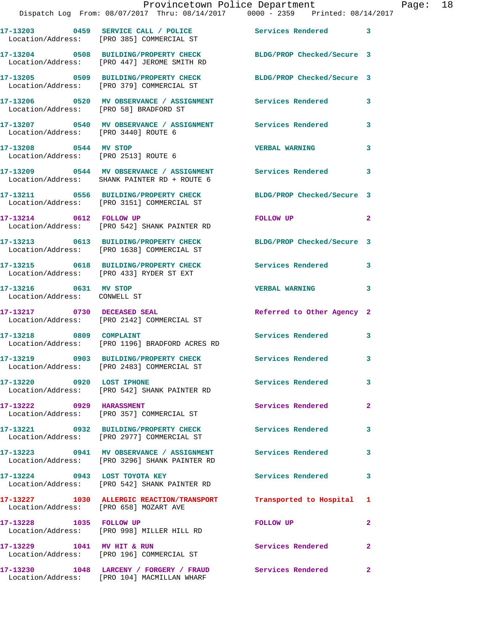|                                                               | Provincetown Police Department<br>Dispatch Log From: 08/07/2017 Thru: 08/14/2017 0000 - 2359 Printed: 08/14/2017 |                            |                         |
|---------------------------------------------------------------|------------------------------------------------------------------------------------------------------------------|----------------------------|-------------------------|
|                                                               |                                                                                                                  |                            | 3                       |
|                                                               | 17-13204 0508 BUILDING/PROPERTY CHECK BLDG/PROP Checked/Secure 3<br>Location/Address: [PRO 447] JEROME SMITH RD  |                            |                         |
|                                                               | 17-13205 0509 BUILDING/PROPERTY CHECK<br>Location/Address: [PRO 379] COMMERCIAL ST                               | BLDG/PROP Checked/Secure 3 |                         |
| Location/Address: [PRO 58] BRADFORD ST                        | 17-13206  0520 MV OBSERVANCE / ASSIGNMENT  Services Rendered                                                     |                            | 3                       |
| Location/Address: [PRO 3440] ROUTE 6                          | 17-13207 0540 MV OBSERVANCE / ASSIGNMENT Services Rendered                                                       |                            | 3                       |
| 17-13208 0544 MV STOP<br>Location/Address: [PRO 2513] ROUTE 6 |                                                                                                                  | <b>VERBAL WARNING</b>      | 3                       |
|                                                               | 17-13209 0544 MV OBSERVANCE / ASSIGNMENT Services Rendered<br>Location/Address: SHANK PAINTER RD + ROUTE 6       |                            | 3                       |
|                                                               | 17-13211 0556 BUILDING/PROPERTY CHECK<br>Location/Address: [PRO 3151] COMMERCIAL ST                              | BLDG/PROP Checked/Secure 3 |                         |
| 17-13214 0612 FOLLOW UP                                       | Location/Address: [PRO 542] SHANK PAINTER RD                                                                     | FOLLOW UP                  | $\overline{\mathbf{2}}$ |
|                                                               | 17-13213 0613 BUILDING/PROPERTY CHECK<br>Location/Address: [PRO 1638] COMMERCIAL ST                              | BLDG/PROP Checked/Secure 3 |                         |
|                                                               | 17-13215 0618 BUILDING/PROPERTY CHECK<br>Location/Address: [PRO 433] RYDER ST EXT                                | Services Rendered          | 3                       |
| 17-13216 0631 MV STOP<br>Location/Address: CONWELL ST         |                                                                                                                  | <b>VERBAL WARNING</b>      | 3                       |
| 17-13217 0730 DECEASED SEAL                                   | Location/Address: [PRO 2142] COMMERCIAL ST                                                                       | Referred to Other Agency 2 |                         |
| 17-13218 0809 COMPLAINT                                       | Location/Address: [PRO 1196] BRADFORD ACRES RD                                                                   | <b>Services Rendered</b>   | 3                       |
|                                                               | 17-13219 0903 BUILDING/PROPERTY CHECK<br>Location/Address: [PRO 2483] COMMERCIAL ST                              | <b>Services Rendered</b>   |                         |
| 17-13220 0920 LOST IPHONE                                     | Location/Address: [PRO 542] SHANK PAINTER RD                                                                     | Services Rendered          | 3                       |
| 17-13222 0929 HARASSMENT                                      | Location/Address: [PRO 357] COMMERCIAL ST                                                                        | Services Rendered          | 2                       |
|                                                               | 17-13221 0932 BUILDING/PROPERTY CHECK<br>Location/Address: [PRO 2977] COMMERCIAL ST                              | Services Rendered          | 3                       |
|                                                               | 17-13223 0941 MV OBSERVANCE / ASSIGNMENT Services Rendered<br>Location/Address: [PRO 3296] SHANK PAINTER RD      |                            | 3                       |
|                                                               | 17-13224 0943 LOST TOYOTA KEY<br>Location/Address: [PRO 542] SHANK PAINTER RD                                    | Services Rendered          | 3                       |
| Location/Address: [PRO 658] MOZART AVE                        | 17-13227 1030 ALLERGIC REACTION/TRANSPORT Transported to Hospital                                                |                            | 1                       |
| 17-13228 1035 FOLLOW UP                                       | Location/Address: [PRO 998] MILLER HILL RD                                                                       | <b>FOLLOW UP</b>           | 2                       |
| 17-13229 1041 MV HIT & RUN                                    |                                                                                                                  | Services Rendered          | $\mathbf{2}$            |

**17-13230 1048 LARCENY / FORGERY / FRAUD Services Rendered 2**  Location/Address: [PRO 104] MACMILLAN WHARF

Location/Address: [PRO 196] COMMERCIAL ST

Page:  $18$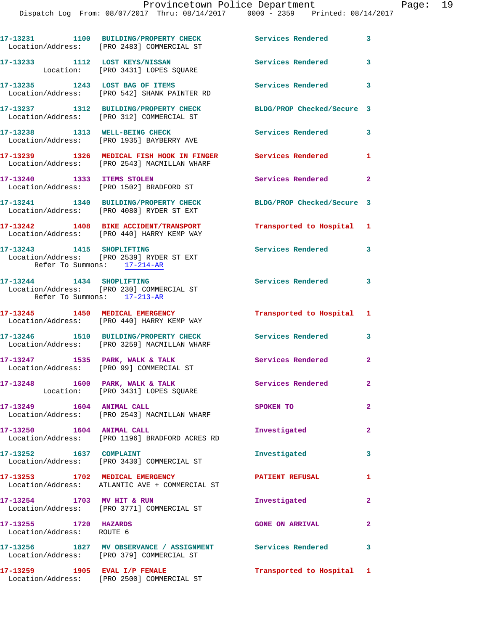|                                                    | 17-13231 1100 BUILDING/PROPERTY CHECK Services Rendered 3<br>Location/Address: [PRO 2483] COMMERCIAL ST       |                            |                         |
|----------------------------------------------------|---------------------------------------------------------------------------------------------------------------|----------------------------|-------------------------|
|                                                    | 17-13233 1112 LOST KEYS/NISSAN<br>Location: [PRO 3431] LOPES SQUARE                                           | <b>Services Rendered</b>   | $\overline{\mathbf{3}}$ |
|                                                    | 17-13235 1243 LOST BAG OF ITEMS<br>Location/Address: [PRO 542] SHANK PAINTER RD                               | Services Rendered 3        |                         |
|                                                    | 17-13237 1312 BUILDING/PROPERTY CHECK BLDG/PROP Checked/Secure 3<br>Location/Address: [PRO 312] COMMERCIAL ST |                            |                         |
|                                                    | 17-13238 1313 WELL-BEING CHECK<br>Location/Address: [PRO 1935] BAYBERRY AVE                                   | Services Rendered 3        |                         |
|                                                    | 17-13239 1326 MEDICAL FISH HOOK IN FINGER<br>Location/Address: [PRO 2543] MACMILLAN WHARF                     | Services Rendered          | $\mathbf{1}$            |
| 17-13240 1333 ITEMS STOLEN                         | Location/Address: [PRO 1502] BRADFORD ST                                                                      | Services Rendered 2        |                         |
|                                                    | 17-13241 1340 BUILDING/PROPERTY CHECK<br>Location/Address: [PRO 4080] RYDER ST EXT                            | BLDG/PROP Checked/Secure 3 |                         |
|                                                    | 17-13242 1408 BIKE ACCIDENT/TRANSPORT<br>Location/Address: [PRO 440] HARRY KEMP WAY                           | Transported to Hospital 1  |                         |
| Refer To Summons: 17-214-AR                        | 17-13243 1415 SHOPLIFTING<br>Location/Address: [PRO 2539] RYDER ST EXT                                        | Services Rendered 3        |                         |
| Refer To Summons: 17-213-AR                        | 17-13244 1434 SHOPLIFTING<br>Location/Address: [PRO 230] COMMERCIAL ST                                        | Services Rendered 3        |                         |
|                                                    | 17-13245 1450 MEDICAL EMERGENCY<br>Location/Address: [PRO 440] HARRY KEMP WAY                                 | Transported to Hospital 1  |                         |
|                                                    | 17-13246 1510 BUILDING/PROPERTY CHECK<br>Location/Address: [PRO 3259] MACMILLAN WHARF                         | Services Rendered 3        |                         |
|                                                    | 17-13247 1535 PARK, WALK & TALK<br>Location/Address: [PRO 99] COMMERCIAL ST                                   | Services Rendered          | $\mathbf{2}$            |
| $17-13248$ 1600 PARK, WALK & TALK                  | Location: [PRO 3431] LOPES SQUARE                                                                             | Services Rendered          | $\mathbf{2}^-$          |
|                                                    | Location/Address: [PRO 2543] MACMILLAN WHARF                                                                  | <b>SPOKEN TO</b>           | $\overline{a}$          |
| 17-13250 1604 ANIMAL CALL                          | Location/Address: [PRO 1196] BRADFORD ACRES RD                                                                | Investigated               | $\mathbf{2}$            |
| 17-13252 1637 COMPLAINT                            | Location/Address: [PRO 3430] COMMERCIAL ST                                                                    | Investigated               | 3                       |
|                                                    | 17-13253 1702 MEDICAL EMERGENCY<br>Location/Address: ATLANTIC AVE + COMMERCIAL ST                             | <b>PATIENT REFUSAL</b>     | 1                       |
| 17-13254 1703 MV HIT & RUN                         | Location/Address: [PRO 3771] COMMERCIAL ST                                                                    | Investigated               | $\overline{2}$          |
| 17-13255 1720 HAZARDS<br>Location/Address: ROUTE 6 |                                                                                                               | <b>GONE ON ARRIVAL</b>     | $\mathbf{2}$            |
|                                                    | 17-13256 1827 MV OBSERVANCE / ASSIGNMENT Services Rendered<br>Location/Address: [PRO 379] COMMERCIAL ST       |                            | $\overline{\mathbf{3}}$ |
| $17-13259$ 1905 EVAL I/P FEMALE                    |                                                                                                               | Transported to Hospital 1  |                         |

Location/Address: [PRO 2500] COMMERCIAL ST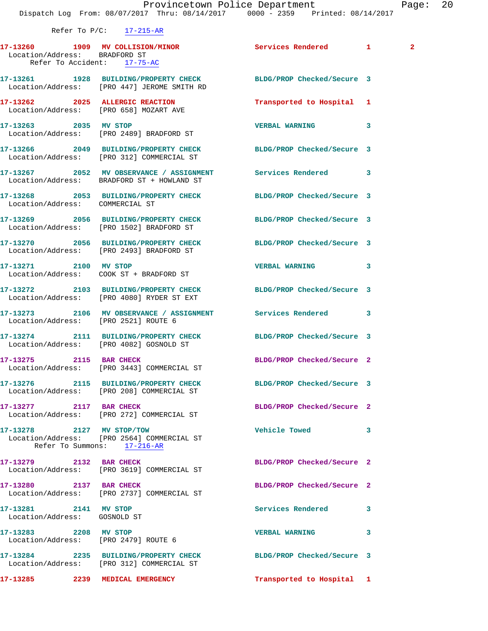|                                                               | Provincetown Police Department<br>Dispatch Log From: 08/07/2017 Thru: 08/14/2017 0000 - 2359 Printed: 08/14/2017 |                            | Pag |
|---------------------------------------------------------------|------------------------------------------------------------------------------------------------------------------|----------------------------|-----|
|                                                               | Refer To $P/C$ : 17-215-AR                                                                                       |                            |     |
| Location/Address: BRADFORD ST                                 | 17-13260 1909 MV COLLISION/MINOR<br>Refer To Accident: 17-75-AC                                                  | Services Rendered 1 2      |     |
|                                                               | 17-13261 1928 BUILDING/PROPERTY CHECK BLDG/PROP Checked/Secure 3<br>Location/Address: [PRO 447] JEROME SMITH RD  |                            |     |
|                                                               | 17-13262 2025 ALLERGIC REACTION<br>Location/Address: [PRO 658] MOZART AVE                                        | Transported to Hospital 1  |     |
|                                                               | 17-13263 2035 MV STOP<br>Location/Address: [PRO 2489] BRADFORD ST                                                | <b>VERBAL WARNING</b>      | 3   |
|                                                               | 17-13266 2049 BUILDING/PROPERTY CHECK BLDG/PROP Checked/Secure 3<br>Location/Address: [PRO 312] COMMERCIAL ST    |                            |     |
|                                                               | 17-13267 2052 MV OBSERVANCE / ASSIGNMENT Services Rendered<br>Location/Address: BRADFORD ST + HOWLAND ST         |                            | 3   |
| Location/Address: COMMERCIAL ST                               | 17-13268 2053 BUILDING/PROPERTY CHECK BLDG/PROP Checked/Secure 3                                                 |                            |     |
|                                                               | 17-13269 2056 BUILDING/PROPERTY CHECK BLDG/PROP Checked/Secure 3<br>Location/Address: [PRO 1502] BRADFORD ST     |                            |     |
|                                                               | 17-13270 2056 BUILDING/PROPERTY CHECK BLDG/PROP Checked/Secure 3<br>Location/Address: [PRO 2493] BRADFORD ST     |                            |     |
|                                                               | 17-13271 2100 MV STOP<br>Location/Address: COOK ST + BRADFORD ST                                                 | <b>VERBAL WARNING</b>      | 3   |
|                                                               | 17-13272 2103 BUILDING/PROPERTY CHECK BLDG/PROP Checked/Secure 3<br>Location/Address: [PRO 4080] RYDER ST EXT    |                            |     |
| Location/Address: [PRO 2521] ROUTE 6                          | 17-13273 2106 MV OBSERVANCE / ASSIGNMENT Services Rendered 3                                                     |                            |     |
|                                                               | 17-13274 2111 BUILDING/PROPERTY CHECK BLDG/PROP Checked/Secure 3<br>Location/Address: [PRO 4082] GOSNOLD ST      |                            |     |
| 17-13275 2115 BAR CHECK                                       | Location/Address: [PRO 3443] COMMERCIAL ST                                                                       | BLDG/PROP Checked/Secure 2 |     |
|                                                               | 17-13276 2115 BUILDING/PROPERTY CHECK BLDG/PROP Checked/Secure 3<br>Location/Address: [PRO 208] COMMERCIAL ST    |                            |     |
| 17-13277 2117 BAR CHECK                                       | Location/Address: [PRO 272] COMMERCIAL ST                                                                        | BLDG/PROP Checked/Secure 2 |     |
| 17-13278 2127 MV STOP/TOW                                     | Location/Address: [PRO 2564] COMMERCIAL ST<br>Refer To Summons: 17-216-AR                                        | Vehicle Towed              | 3   |
| 17-13279 2132 BAR CHECK                                       | Location/Address: [PRO 3619] COMMERCIAL ST                                                                       | BLDG/PROP Checked/Secure 2 |     |
| 17-13280 2137 BAR CHECK                                       | Location/Address: [PRO 2737] COMMERCIAL ST                                                                       | BLDG/PROP Checked/Secure 2 |     |
| 17-13281 2141 MV STOP<br>Location/Address: GOSNOLD ST         |                                                                                                                  | Services Rendered          | 3   |
| 17-13283 2208 MV STOP<br>Location/Address: [PRO 2479] ROUTE 6 |                                                                                                                  | <b>VERBAL WARNING</b>      | 3   |

**17-13284 2235 BUILDING/PROPERTY CHECK BLDG/PROP Checked/Secure 3**  Location/Address: [PRO 312] COMMERCIAL ST

**17-13285 2239 MEDICAL EMERGENCY Transported to Hospital 1**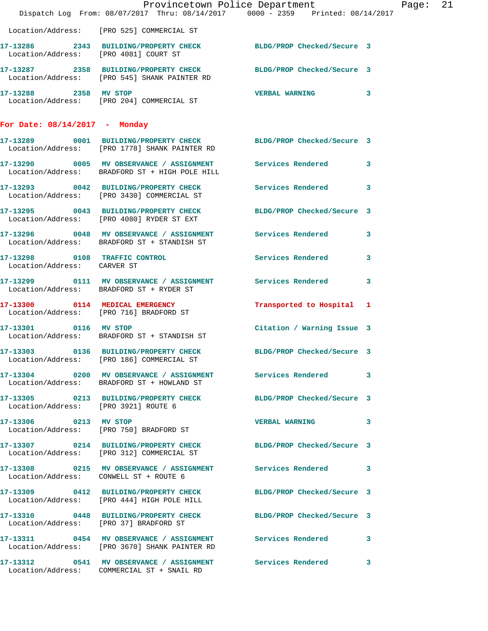|                                      | Provincetown Police Department The Rage: 21<br>Dispatch Log From: 08/07/2017 Thru: 08/14/2017 0000 - 2359 Printed: 08/14/2017 |                            |  |  |
|--------------------------------------|-------------------------------------------------------------------------------------------------------------------------------|----------------------------|--|--|
|                                      | Location/Address: [PRO 525] COMMERCIAL ST                                                                                     |                            |  |  |
|                                      | 17-13286 2343 BUILDING/PROPERTY CHECK BLDG/PROP Checked/Secure 3<br>Location/Address: [PRO 4081] COURT ST                     |                            |  |  |
|                                      | 17-13287 2358 BUILDING/PROPERTY CHECK BLDG/PROP Checked/Secure 3<br>Location/Address: [PRO 545] SHANK PAINTER RD              |                            |  |  |
|                                      | 17-13288 2358 MV STOP<br>Location/Address: [PRO 204] COMMERCIAL ST                                                            | <b>VERBAL WARNING</b> 3    |  |  |
| For Date: $08/14/2017$ - Monday      |                                                                                                                               |                            |  |  |
|                                      | 17-13289 0001 BUILDING/PROPERTY CHECK BLDG/PROP Checked/Secure 3<br>Location/Address: [PRO 1778] SHANK PAINTER RD             |                            |  |  |
|                                      | 17-13290 0005 MV OBSERVANCE / ASSIGNMENT Services Rendered 3<br>Location/Address: BRADFORD ST + HIGH POLE HILL                |                            |  |  |
|                                      | 17-13293 0042 BUILDING/PROPERTY CHECK Services Rendered 3<br>Location/Address: [PRO 3430] COMMERCIAL ST                       |                            |  |  |
|                                      | 17-13295 0043 BUILDING/PROPERTY CHECK BLDG/PROP Checked/Secure 3<br>Location/Address: [PRO 4080] RYDER ST EXT                 |                            |  |  |
|                                      | 17-13296 0048 MV OBSERVANCE / ASSIGNMENT Services Rendered 3<br>Location/Address: BRADFORD ST + STANDISH ST                   |                            |  |  |
| Location/Address: CARVER ST          | 17-13298 0108 TRAFFIC CONTROL CONTROL Services Rendered 3                                                                     |                            |  |  |
|                                      | 17-13299 0111 MV OBSERVANCE / ASSIGNMENT Services Rendered 3<br>Location/Address: BRADFORD ST + RYDER ST                      |                            |  |  |
|                                      | 17-13300 0114 MEDICAL EMERGENCY<br>Location/Address: [PRO 716] BRADFORD ST                                                    | Transported to Hospital 1  |  |  |
| 17-13301 0116 MV STOP                | Location/Address: BRADFORD ST + STANDISH ST                                                                                   | Citation / Warning Issue 3 |  |  |
|                                      | 17-13303 0136 BUILDING/PROPERTY CHECK BLDG/PROP Checked/Secure 3<br>Location/Address: [PRO 186] COMMERCIAL ST                 |                            |  |  |
|                                      | 17-13304 0200 MV OBSERVANCE / ASSIGNMENT Services Rendered 3<br>Location/Address: BRADFORD ST + HOWLAND ST                    |                            |  |  |
| Location/Address: [PRO 3921] ROUTE 6 | 17-13305 0213 BUILDING/PROPERTY CHECK BLDG/PROP Checked/Secure 3                                                              |                            |  |  |
|                                      | 17-13306 0213 MV STOP<br>Location/Address: [PRO 750] BRADFORD ST                                                              | VERBAL WARNING 3           |  |  |
|                                      | 17-13307 0214 BUILDING/PROPERTY CHECK BLDG/PROP Checked/Secure 3<br>Location/Address: [PRO 312] COMMERCIAL ST                 |                            |  |  |
|                                      | 17-13308 0215 MV OBSERVANCE / ASSIGNMENT Services Rendered 3<br>Location/Address: CONWELL ST + ROUTE 6                        |                            |  |  |
|                                      | 17-13309 0412 BUILDING/PROPERTY CHECK BLDG/PROP Checked/Secure 3<br>Location/Address: [PRO 444] HIGH POLE HILL                |                            |  |  |
|                                      | 17-13310 0448 BUILDING/PROPERTY CHECK BLDG/PROP Checked/Secure 3<br>Location/Address: [PRO 37] BRADFORD ST                    |                            |  |  |
|                                      | 17-13311 0454 MV OBSERVANCE / ASSIGNMENT Services Rendered 3<br>Location/Address: [PRO 3670] SHANK PAINTER RD                 |                            |  |  |
|                                      | 17-13312 0541 MV OBSERVANCE / ASSIGNMENT Services Rendered 3                                                                  |                            |  |  |